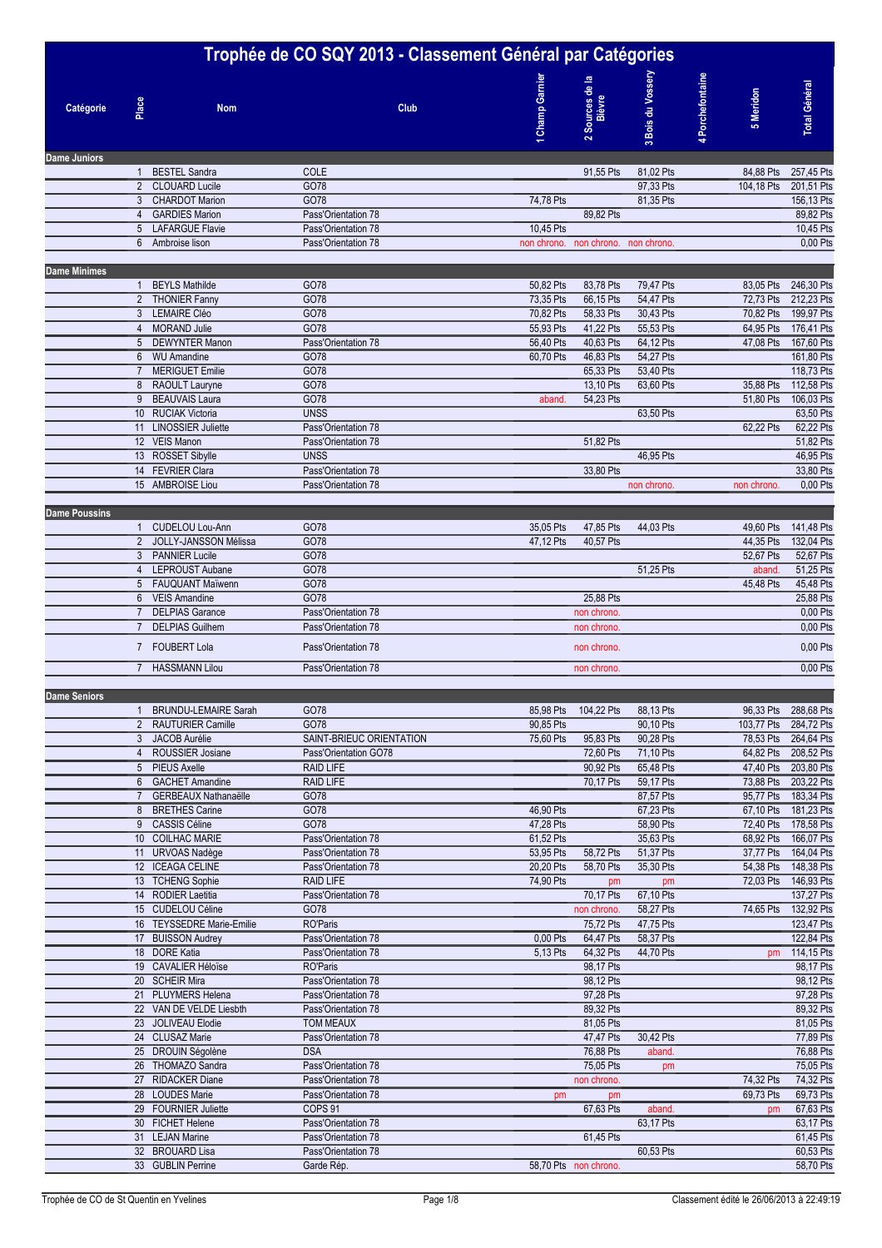| Trophée de CO SQY 2013 - Classement Général par Catégories |                 |                                                |                                            |  |                        |                                     |                        |                |                        |                                              |
|------------------------------------------------------------|-----------------|------------------------------------------------|--------------------------------------------|--|------------------------|-------------------------------------|------------------------|----------------|------------------------|----------------------------------------------|
| Catégorie                                                  | Place           | <b>Nom</b>                                     | Club                                       |  | Champ Garnie           | ≖<br>2 Sources de<br>Bièvre         | 3 Bois du Vosser       | Porchefontaine | 5 Meridon              | <b>Total Général</b>                         |
| <b>Dame Juniors</b>                                        |                 |                                                |                                            |  |                        |                                     |                        |                |                        |                                              |
|                                                            | $\mathbf{1}$    | <b>BESTEL Sandra</b>                           | COLE                                       |  |                        | 91,55 Pts                           | 81,02 Pts              |                | 84,88 Pts              | 257,45 Pts                                   |
|                                                            | 3               | 2 CLOUARD Lucile<br><b>CHARDOT Marion</b>      | GO78<br>GO78                               |  | 74,78 Pts              |                                     | 97.33 Pts<br>81,35 Pts |                | 104,18 Pts             | 201,51 Pts<br>156,13 Pts                     |
|                                                            | $\overline{4}$  | <b>GARDIES Marion</b>                          | Pass'Orientation 78                        |  |                        | 89,82 Pts                           |                        |                |                        | 89,82 Pts                                    |
|                                                            |                 | 5 LAFARGUE Flavie                              | Pass'Orientation 78                        |  | 10,45 Pts              |                                     |                        |                |                        | 10,45 Pts                                    |
|                                                            | $6^{\circ}$     | Ambroise lison                                 | Pass'Orientation 78                        |  |                        | non chrono. non chrono. non chrono. |                        |                |                        | 0,00 Pts                                     |
| <b>Dame Minimes</b>                                        |                 |                                                |                                            |  |                        |                                     |                        |                |                        |                                              |
|                                                            | $\mathbf{1}$    | <b>BEYLS Mathilde</b>                          | GO78                                       |  | 50,82 Pts              | 83,78 Pts                           | 79,47 Pts              |                | 83,05 Pts              | 246,30 Pts                                   |
|                                                            |                 | 2 THONIER Fanny                                | GO78                                       |  | 73,35 Pts              | 66,15 Pts                           | 54,47 Pts              |                | 72,73 Pts              | 212,23 Pts                                   |
|                                                            | $\overline{4}$  | 3 LEMAIRE Cléo<br><b>MORAND Julie</b>          | GO78<br>GO78                               |  | 70,82 Pts<br>55,93 Pts | 58,33 Pts<br>41,22 Pts              | 30,43 Pts<br>55,53 Pts |                | 70,82 Pts<br>64,95 Pts | 199,97 Pts<br>176,41 Pts                     |
|                                                            | 5               | <b>DEWYNTER Manon</b>                          | Pass'Orientation 78                        |  | 56,40 Pts              | 40,63 Pts                           | 64,12 Pts              |                | 47,08 Pts              | 167,60 Pts                                   |
|                                                            | $6\overline{6}$ | <b>WU Amandine</b>                             | GO78                                       |  | 60,70 Pts              | 46,83 Pts                           | 54,27 Pts              |                |                        | 161,80 Pts                                   |
|                                                            | $\overline{7}$  | <b>MERIGUET Emilie</b>                         | GO78                                       |  |                        | 65,33 Pts                           | 53,40 Pts              |                |                        | 118,73 Pts                                   |
|                                                            | 9               | 8 RAOULT Lauryne<br><b>BEAUVAIS Laura</b>      | GO78<br>GO78                               |  | aband.                 | 13,10 Pts<br>54,23 Pts              | 63,60 Pts              |                | 35,88 Pts<br>51,80 Pts | 112,58 Pts<br>106,03 Pts                     |
|                                                            |                 | 10 RUCIAK Victoria                             | <b>UNSS</b>                                |  |                        |                                     | 63,50 Pts              |                |                        | 63,50 Pts                                    |
|                                                            |                 | 11 LINOSSIER Juliette                          | Pass'Orientation 78                        |  |                        |                                     |                        |                | 62,22 Pts              | 62,22 Pts                                    |
|                                                            |                 | 12 VEIS Manon                                  | Pass'Orientation 78                        |  |                        | 51,82 Pts                           |                        |                |                        | 51,82 Pts                                    |
|                                                            |                 | 13 ROSSET Sibylle<br>14 FEVRIER Clara          | <b>UNSS</b><br>Pass'Orientation 78         |  |                        | 33,80 Pts                           | 46,95 Pts              |                |                        | 46,95 Pts<br>33,80 Pts                       |
|                                                            |                 | 15 AMBROISE Liou                               | Pass'Orientation 78                        |  |                        |                                     | non chrono.            |                | non chrono.            | 0,00 Pts                                     |
|                                                            |                 |                                                |                                            |  |                        |                                     |                        |                |                        |                                              |
| <b>Dame Poussins</b>                                       |                 |                                                |                                            |  |                        |                                     |                        |                |                        |                                              |
|                                                            |                 | 1 CUDELOU Lou-Ann<br>2 JOLLY-JANSSON Mélissa   | GO78<br>GO78                               |  | 35,05 Pts<br>47,12 Pts | 47,85 Pts<br>40,57 Pts              | 44,03 Pts              |                | 49,60 Pts<br>44,35 Pts | 141,48 Pts<br>132,04 Pts                     |
|                                                            | 3               | <b>PANNIER Lucile</b>                          | GO78                                       |  |                        |                                     |                        |                | 52,67 Pts              | 52,67 Pts                                    |
|                                                            | $\overline{4}$  | <b>LEPROUST Aubane</b>                         | GO78                                       |  |                        |                                     | 51,25 Pts              |                | aband.                 | 51,25 Pts                                    |
|                                                            |                 | 5 FAUQUANT Maïwenn                             | GO78                                       |  |                        |                                     |                        |                | 45,48 Pts              | 45,48 Pts                                    |
|                                                            | $\overline{7}$  | 6 VEIS Amandine<br><b>DELPIAS Garance</b>      | GO78<br>Pass'Orientation 78                |  |                        | 25,88 Pts<br>non chrono.            |                        |                |                        | 25,88 Pts<br>0,00 Pts                        |
|                                                            | $\overline{7}$  | <b>DELPIAS Guilhem</b>                         | Pass'Orientation 78                        |  |                        | non chrono.                         |                        |                |                        | 0,00 Pts                                     |
|                                                            |                 | 7 FOUBERT Lola                                 | Pass'Orientation 78                        |  |                        | non chrono.                         |                        |                |                        | 0,00 Pts                                     |
|                                                            | $\overline{7}$  | <b>HASSMANN Lilou</b>                          | Pass'Orientation 78                        |  |                        | non chrono.                         |                        |                |                        | 0,00 Pts                                     |
|                                                            |                 |                                                |                                            |  |                        |                                     |                        |                |                        |                                              |
| <b>Dame Seniors</b>                                        | $\mathbf{1}$    | <b>BRUNDU-LEMAIRE Sarah</b>                    | GO78                                       |  | 85,98 Pts              | 104,22 Pts                          | 88,13 Pts              |                |                        | 96,33 Pts 288,68 Pts                         |
|                                                            |                 | 2 RAUTURIER Camille                            | GO78                                       |  | 90,85 Pts              |                                     | 90,10 Pts              |                | 103,77 Pts 284,72 Pts  |                                              |
|                                                            |                 | 3 JACOB Aurélie                                | SAINT-BRIEUC ORIENTATION                   |  | 75,60 Pts              | 95,83 Pts                           | 90,28 Pts              |                |                        | 78,53 Pts 264,64 Pts                         |
|                                                            |                 | 4 ROUSSIER Josiane                             | Pass'Orientation GO78                      |  |                        | 72,60 Pts                           | 71,10 Pts              |                |                        | 64,82 Pts 208,52 Pts                         |
|                                                            |                 | 5 PIEUS Axelle<br>6 GACHET Amandine            | <b>RAID LIFE</b><br><b>RAID LIFE</b>       |  |                        | 90,92 Pts<br>70,17 Pts              | 65,48 Pts<br>59,17 Pts |                |                        | 47,40 Pts 203,80 Pts<br>73,88 Pts 203,22 Pts |
|                                                            | $7^{\circ}$     | <b>GERBEAUX Nathanaëlle</b>                    | GO78                                       |  |                        |                                     | 87,57 Pts              |                | 95,77 Pts              | 183,34 Pts                                   |
|                                                            |                 | 8 BRETHES Carine                               | GO78                                       |  | 46,90 Pts              |                                     | 67,23 Pts              |                | 67,10 Pts              | 181,23 Pts                                   |
|                                                            |                 | 9 CASSIS Céline                                | GO78                                       |  | 47,28 Pts              |                                     | 58,90 Pts              |                |                        | 72,40 Pts 178,58 Pts                         |
|                                                            |                 | 10 COILHAC MARIE<br>11 URVOAS Nadège           | Pass'Orientation 78<br>Pass'Orientation 78 |  | 61,52 Pts<br>53,95 Pts | 58,72 Pts                           | 35,63 Pts<br>51,37 Pts |                | 68,92 Pts              | 166,07 Pts<br>37,77 Pts 164,04 Pts           |
|                                                            |                 | 12 ICEAGA CELINE                               | Pass'Orientation 78                        |  | 20,20 Pts              | 58,70 Pts                           | 35,30 Pts              |                | 54,38 Pts              | 148,38 Pts                                   |
|                                                            |                 | 13 TCHENG Sophie                               | <b>RAID LIFE</b>                           |  | 74,90 Pts              | pm                                  | pm                     |                | 72,03 Pts              | 146,93 Pts                                   |
|                                                            |                 | 14 RODIER Laetitia                             | Pass'Orientation 78                        |  |                        | 70,17 Pts                           | 67,10 Pts              |                |                        | 137,27 Pts                                   |
|                                                            |                 | 15 CUDELOU Céline                              | GO78                                       |  |                        | non chrono.                         | 58,27 Pts              |                | 74,65 Pts              | 132,92 Pts                                   |
|                                                            |                 | 16 TEYSSEDRE Marie-Emilie<br>17 BUISSON Audrey | <b>RO'Paris</b><br>Pass'Orientation 78     |  | 0,00 Pts               | 75,72 Pts<br>64,47 Pts              | 47,75 Pts<br>58,37 Pts |                |                        | 123,47 Pts<br>122,84 Pts                     |
|                                                            |                 | 18 DORE Katia                                  | Pass'Orientation 78                        |  | 5,13 Pts               | 64,32 Pts                           | 44,70 Pts              |                | pm                     | 114,15 Pts                                   |
|                                                            |                 | 19 CAVALIER Héloïse                            | <b>RO'Paris</b>                            |  |                        | 98,17 Pts                           |                        |                |                        | 98,17 Pts                                    |
|                                                            |                 | 20 SCHEIR Mira                                 | Pass'Orientation 78                        |  |                        | 98,12 Pts                           |                        |                |                        | 98,12 Pts                                    |
|                                                            |                 | 21 PLUYMERS Helena<br>22 VAN DE VELDE Liesbth  | Pass'Orientation 78<br>Pass'Orientation 78 |  |                        | 97,28 Pts<br>89,32 Pts              |                        |                |                        | 97,28 Pts<br>89,32 Pts                       |
|                                                            |                 | 23 JOLIVEAU Elodie                             | <b>TOM MEAUX</b>                           |  |                        | 81,05 Pts                           |                        |                |                        | 81,05 Pts                                    |
|                                                            |                 | 24 CLUSAZ Marie                                | Pass'Orientation 78                        |  |                        | 47,47 Pts                           | 30,42 Pts              |                |                        | 77,89 Pts                                    |
|                                                            |                 | 25 DROUIN Ségolène                             | <b>DSA</b>                                 |  |                        | 76,88 Pts                           | aband.                 |                |                        | 76,88 Pts                                    |
|                                                            |                 | 26 THOMAZO Sandra<br>27 RIDACKER Diane         | Pass'Orientation 78<br>Pass'Orientation 78 |  |                        | 75,05 Pts<br>non chrono.            | pm                     |                | 74,32 Pts              | 75,05 Pts<br>74,32 Pts                       |
|                                                            |                 | 28 LOUDES Marie                                | Pass'Orientation 78                        |  | pm                     | pm                                  |                        |                | 69,73 Pts              | 69,73 Pts                                    |
|                                                            |                 | 29 FOURNIER Juliette                           | COPS <sub>91</sub>                         |  |                        | 67,63 Pts                           | aband.                 |                | pm                     | 67,63 Pts                                    |
|                                                            |                 | 30 FICHET Helene                               | Pass'Orientation 78                        |  |                        |                                     | 63,17 Pts              |                |                        | 63,17 Pts                                    |
|                                                            |                 | 31 LEJAN Marine<br>32 BROUARD Lisa             | Pass'Orientation 78<br>Pass'Orientation 78 |  |                        | 61,45 Pts                           | 60,53 Pts              |                |                        | 61,45 Pts<br>60,53 Pts                       |
|                                                            |                 | 33 GUBLIN Perrine                              | Garde Rép.                                 |  |                        | 58,70 Pts non chrono.               |                        |                |                        | 58,70 Pts                                    |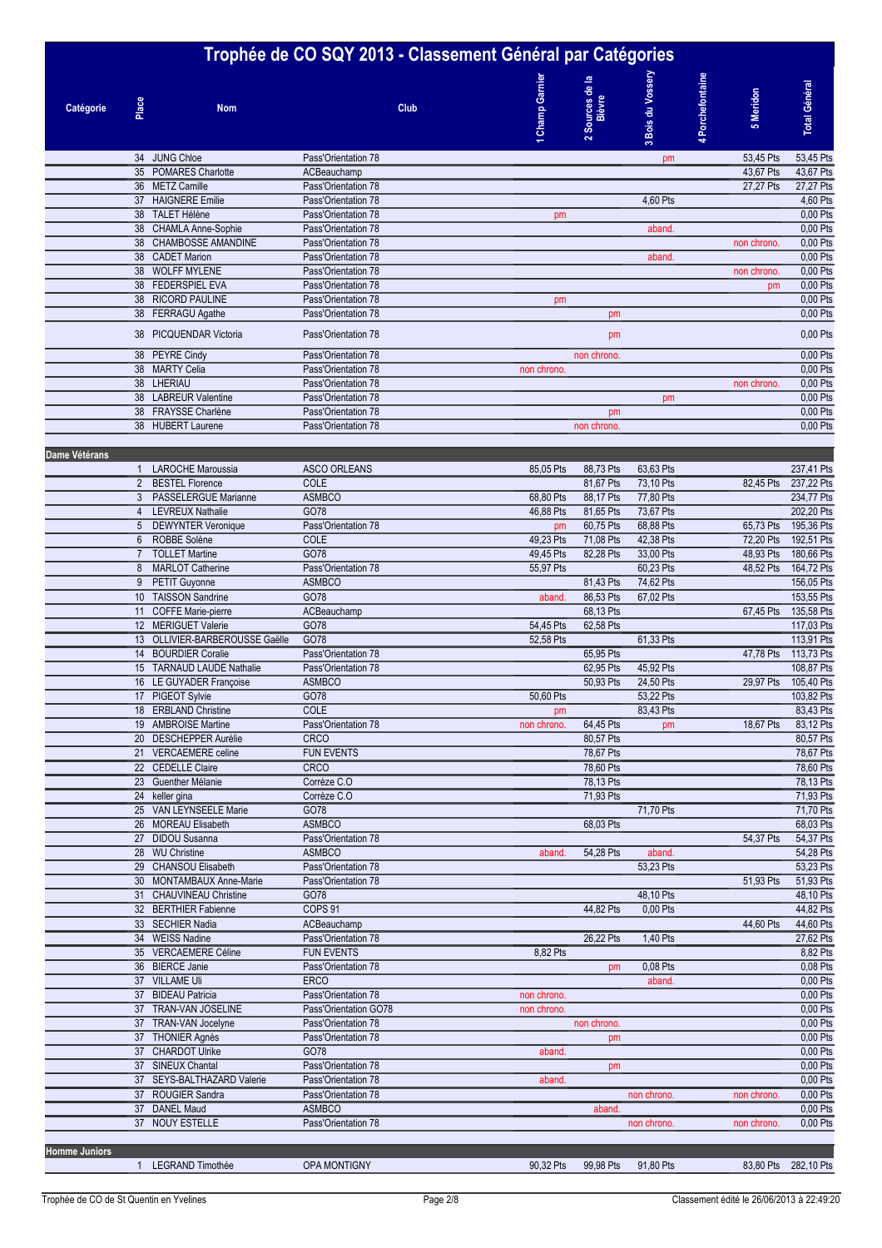## **Trophée de CO SQY 2013 - Classement Général par Catégories Bois du Vossery Champ Garnier** 3 Bois du Vossery 4 Porchefontaine **Porchefontaine Champ Garnie Sources de la Total Général Total Général** Sources de **5 Meridon Bièvre Place Nom Club Catégorie**  $\sim$ **1**34 JUNG Chloe Pass'Orientation 78 0 0 pm 0 53,45 Pts 53,45 Pts 35 POMARES Charlotte **ACBeauchamp** 43,67 Pts 43,67 Pts 43,67 Pts 43,67 Pts 43,67 Pts 43,67 Pts 43,67 Pts 43,67 Pts 43,67 Pts 43,67 Pts 43,67 Pts 43,67 Pts 43,67 Pts 43,67 Pts 43,67 Pts 43,67 Pts 43,67 Pts 43,67 Pts 43,67 P 36 METZ Camille **27,27 Pts 27,27 Pts 27,27 Pts** 27,27 Pts 27,27 Pts 27,27 Pts 27,27 Pts 27,27 Pts 27,27 Pts 27,27 Pts 27,27 Pts 27,27 Pts 27,27 Pts 27,27 Pts 27,27 Pts 27,27 Pts 27,27 Pts 27,27 Pts 27,27 Pts 27,27 Pts 27,2 37 HAIGNERE Emilie **Pass'Orientation 78** 0 0 0 2 0 2 2 2 3 4,60 Pts 0 4,60 Pts 0 4,60 Pts 0 4,60 Pts 0 4,60 Pts 38 TALET Hélène Pass'Orientation 78 pm 0 0 0 0 0,00 Pts 38 CHAMLA Anne-Sophie Pass'Orientation 78 0.00 Pts<br>38 CHAMBOSSE AMANDINE Pass'Orientation 78 000 Pts 38 CHAMBOSSE AMANDINE Pass'Orientation 78 0 0 0 0 non chrono. 0,00 Pts 38 CADET Marion **Pass'Orientation 78** 0.00 Pts control aband. 0 0.00 Pts 38 WOLFF MYLENE Pass'Orientation 78 0 0 0 0 non chrono. 0,00 Pts 38 FEDERSPIEL EVA Pass'Orientation 78 0 0 0 0 pm 0,00 Pts 38 RICORD PAULINE Pass'Orientation 78 pm contract part of the extension of the extension of the extension of the extension of the extension of the extension of the extension of the extension of the extension of the extensi 38 FERRAGU Agathe Pass'Orientation 78 pm pm 0,00 Pts 38 PICQUENDAR Victoria **Pass'Orientation 78** 0.00 Pts **pm 0.00 Pts** 0.00 Pts 0.00 Pts 38 PEYRE Cindy **Pass'Orientation 78** 0,00 Pts and chrono. 0 0,00 Pts and chrono. 38 MARTY Celia **Pass'Orientation 78** non chrono. 0 00 Pts 0,00 Pts 0,00 Pts 38 LHERIAU Pass'Orientation 78 0 0 0 0 non chrono. 0,00 Pts 38 LABREUR Valentine Pass'Orientation 78 0 0 pm 0 0 0,00 Pts 38 FRAYSSE Charlène **Pass'Orientation 78** 0,00 Pts 38 HUBERT Laurene **Pass'Orientation 78 Decision 28** 0.00 Pts **Dame Vétérans 0 0 0 0 0 0 0** 1 LAROCHE Maroussia ASCO ORLEANS 85,05 Pts 88,73 Pts 63,63 Pts 0 0 237,41 Pts 2 BESTEL Florence COLE 0 81,67 Pts 73,10 Pts 0 82,45 Pts 237,22 Pts 3 PASSELERGUE Marianne ASMBCO 68,80 Pts 88,17 Pts 77,80 Pts 234,77 Pts 234,77 Pts 4 LEVREUX Nathalie 6078 6078 6078 16.00 1202,20 Pts 46,88 Pts 81,65 Pts 73,67 Pts 202,20 Pts 0 202,20 Pts 5 DEWYNTER Veronique Pass'Orientation 78 pm 60,75 Pts 68,88 Pts 65,73 Pts 195,36 Pts 6 ROBBE Solène COLE 49,23 Pts 71,08 Pts 42,38 Pts 0 72,20 Pts 192,51 Pts 7 TOLLET Martine GO78 49,45 Pts 82,28 Pts 33,00 Pts 0 48,93 Pts 180,66 Pts 8 MARLOT Catherine Pass'Orientation 78 55,97 Pts 60,23 Pts 48,52 Pts 164,72 Pts 9 PETIT Guyonne ASMBCO 81,43 Pts 74,62 Pts 156,05 Pts 10 TAISSON Sandrine GO78 aband. 86,53 Pts 67,02 Pts 0 0 153,55 Pts 11 COFFE Marie-pierre 2009 ACBeauchamp 2009 ACBeauchamp 3 68,13 Pts 67,45 Pts 67,45 Pts 135,58 Pts 12 0 67,45 Pts 135,58 Pts 117,03 Pts 135,58 Pts 117,03 Pts 117,03 Pts 117,03 Pts 117,03 Pts 117,03 Pts 117,03 Pts 117,03 Pt 12 MERIGUET Valerie 13 OLLIVIER-BARBEROUSSE Gaëlle GO78 52,58 Pts 61,33 Pts 61,33 Pts 113,91 Pts 113,91 Pts 14 BOURDIER Coralie **Pass'Orientation 78** 0 65,95 Pts 65,95 Pts 47,78 Pts 113,73 Pts 113,73 Pts 113,73 Pts 113,73 Pts 15 TARNAUD LAUDE Nathalie Pass'Orientation 78 0 62,95 Pts 45,92 Pts 45,92 Pts 108,87 Pts 16 LE GUYADER Françoise ASMBCO ASMBO 60,93 Pts 24,50 Pts 29,97 Pts 105,40 Pts 17 PIGEOT Sylvie 6078 6078 50,60 Pts 53,22 Pts 53,22 Pts 103,82 Pts 103,82 Pts 18 ERBLAND Christine COLE COLE 2008 Pts 0 83,43 Pts 0 83,43 Pts 0 83,43 Pts 0 83,43 Pts 0 83,43 Pts 0 83,43 Pts 19 AMBROISE Martine **Pass'Orientation 78** non chrono. 64.45 Pts pm 18.67 Pts 83.12 Pts 20 DESCHEPPER Aurélie CRCO 0 80,57 Pts 0 0 0 80,57 Pts 21 VERCAEMERE celine FUN EVENTS FUN EVENTS 78,67 Pts 22 CEDELLE Claire CRCO 0 78,60 Pts 0 0 0 78,60 Pts 23 Guenther Mélanie Corrèze C.O **2009 Corrèze C.O 2009 Proprietate de la Corrèze C.O** 78,13 Pts 0 78,13 Pts 0 78,13 Pts 24 keller gina Corrèze C.O 2009 - Corrèze C.O 2009 - Corrèze C.O 2009 - Corrèze C.O 2009 - Corrèze C.O 2009 - C 25 VAN LEYNSEELE Marie 6078 68.03 Pts 71,70 Pts 71,70 Pts 71,70 Pts 71,70 Pts 71,70 Pts 71,70 Pts 68.03 Pts 71,70 Pts 71,70 Pts 71,70 Pts 71,70 Pts 71,70 Pts 71,70 Pts 71,70 Pts 71,70 Pts 71,70 Pts 68.03 Pts 68.03 Pts 68.0 26 MOREAU Elisabeth ASMBCO ASMES ASMES ASSESSED A DELISION CONTRACT A CONTRACT OF CONTRACT OF CONTRACT OF CONTRACT OF CONTRACT OF CONTRACT OF CONTRACT OF CONTRACT OF CONTRACT OF CONTRACT OF CONTRACT OF CONTRACT OF CONTRACT 27 DIDOU Susanna Pass'Orientation 78 0 0 0 0 54,37 Pts 54,37 Pts 28 WU Christine **ASMBCO** ASMBCO **aband.** 54,28 Pts aband. 54,28 Pts aband. 0 0 54,28 Pts 29 CHANSOU Elisabeth Pass'Orientation 78 0 0 53,23 Pts 0 53,23 Pts 0 53,23 Pts 0 53,23 Pts 0 53,23 Pts 0 53,23 Pts 30 MONTAMBAUX Anne-Marie Pass'Orientation 78 0 0 0 0 0 51,93 Pts 51,93 Pts 51,93 Pts 51,93 Pts 31 CHAUVINEAU Christine GO78 6 0 48,10 Pts 0 48,10 Pts 0 48,10 Pts 0 48,10 Pts 0 48,10 Pts 0 48,10 Pts 0 48,10 Pts 32 BERTHIER Fabienne COPS 91 COPS 91 COPS 91 COPS 0 44,82 Pts 0,00 Pts 44,82 Pts 0,00 Pts 44,82 Pts 33 SECHIER Nadia 20 0 0 0 44,60 Pts 44,60 Pts 44,60 Pts 44,60 Pts 44,60 Pts 44,60 Pts 44,60 Pts 44,60 Pts 44,60 Pts 34 WEISS Nadine 27,62 Pts 1,40 Pts 27,62 Pts 27,62 Pts 27,62 Pts 1,40 Pts 27,62 Pts 27,62 Pts 35 VERCAEMERE Céline FUN EVENTS 6,82 Pts 6,82 Pts 6,82 Pts 6,82 Pts 6,82 Pts 6,82 Pts 6,82 Pts 6,82 Pts 6,82 Pts 6,03 Pts 6,03 Pts 6,03 Pts 6,03 Pts 6,03 Pts 6,03 Pts 6,03 Pts 6,03 Pts 6,03 Pts 6,03 Pts 6,03 Pts 6,03 Pts 6 **Bass'Orientation 78** 37 VILLAME Uli ERCO 0 0 aband. 0 0 0,00 Pts 37 BIDEAU Patricia **Pass'Orientation 78** non chrono. 0 0.00 Pts 37 TRAN-VAN JOSELINE Pass'Orientation GO78 non chrono. 0 0 0 0 0,00 Pts 37 TRAN-VAN Jocelyne Pass'Orientation 78 contract of the contract of the contract of the contract of the contract of the contract of the contract of the contract of the contract of the contract of the contract of the contr THONIER Agnès Pass'Orientation 78 37 CHARDOT Ulrike GO78 GO78 aband. CO79 aband. CO79 aband. CO20 Pts 37 SINEUX Chantal Pass'Orientation 78 0 pm 0 0 0 0,00 Pts 37 SEYS-BALTHAZARD Valerie Pass'Orientation 78 aband. COD Pts and aband. COD Pts and aband. COD Pts and a 0,00 Pts aband. COD Pts and a 0,00 Pts aband aband. COD Pts aband aband. COD Pts aband aband. COD Pts aband aband ab 37 ROUGIER Sandra **Pass'Orientation 78** 0 0 0 non chrono. 0 non chrono. 0 non chrono. 0 non chrono. 37 DANEL Maud ASMBCO 0 aband. 0 0 0 0,00 Pts 37 NOUY ESTELLE **Pass'Orientation 78** 0 non chrono. 0,00 Pts

**Homme Juniors 0 0 0 0 0 0 0**

1 LEGRAND Timothée OPA MONTIGNY 90,32 Pts 99,98 Pts 91,80 Pts 0 83,80 Pts 282,10 Pts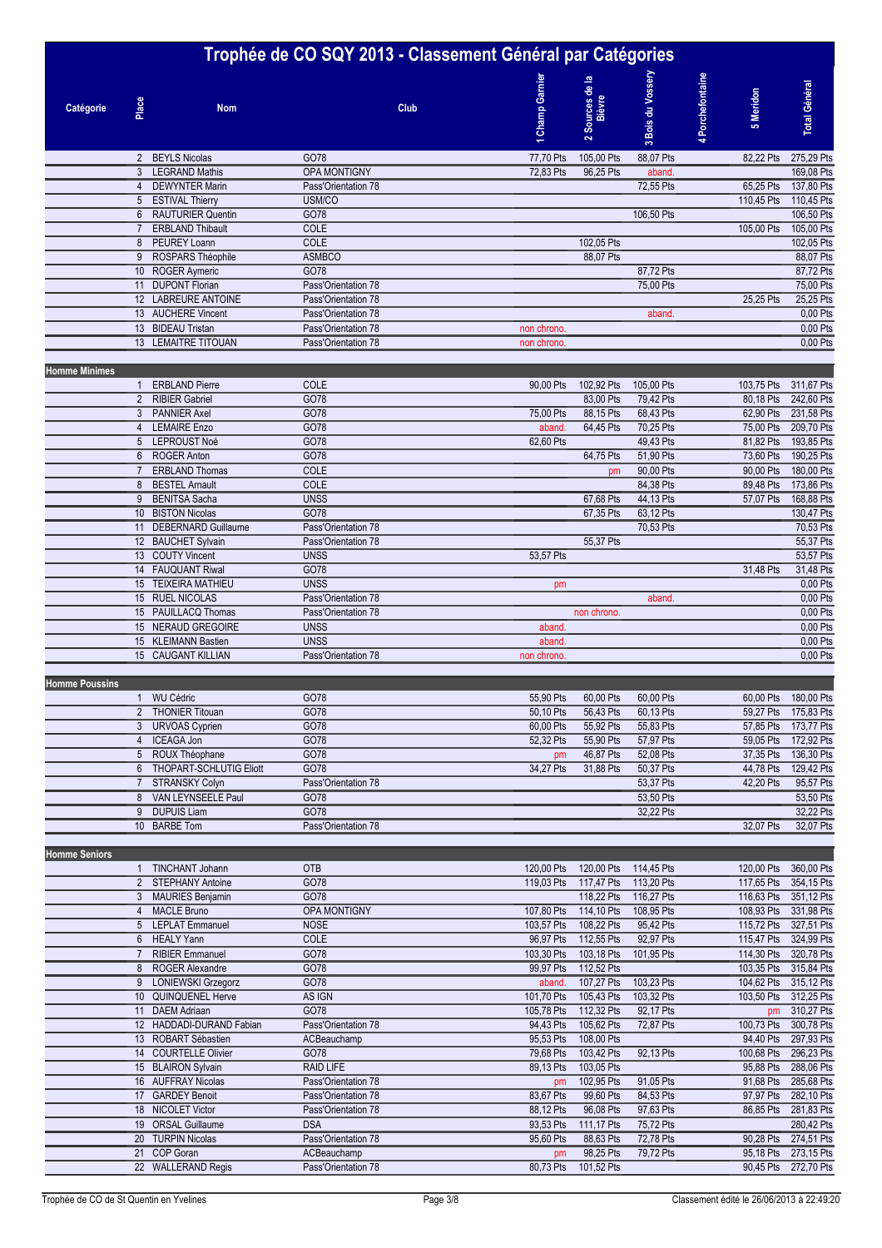## **Trophée de CO SQY 2013 - Classement Général par Catégories Bois du Vossery Champ Garnier** Bois du Vossery **4** Porchefontaine **Porchefontaine Sources de la Champ Garnie Total Général Total Général** Sources de **5 Meridon Bièvre Place Catégorie Nom Club**  $\sim$ **13**2 BEYLS Nicolas GO78 77,70 Pts 105,00 Pts 88,07 Pts 0 82,22 Pts 275,29 Pts 3 LEGRAND Mathis **3 COMPUTE OPA MONTIGNY** 2 0 169,08 Pts 96,25 Pts aband. 0 0 169,08 Pts 4 DEWYNTER Marin Pass'Orientation 78 0 0 72,55 Pts 65,25 Pts 137,80 Pts 5 ESTIVAL Thierry USM/CO 0 0 0 0 110,45 Pts 110,45 Pts 6 RAUTURIER Quentin GO78 0 0 106,50 Pts 0 0 106,50 Pts and the set of the cole of the cole of the cole of the cole of the cole of the cole of the cole of the cole of the cole of the cole of the cole of the cole of the cole of the cole of the cole of the cole of the cole of the 8 PEUREY Loann COLE 0 102,05 Pts 0 0 0 102,05 Pts 9 ROSPARS Théophile ASMBCO ASMBCO 68,07 Pts 0 88,07 Pts 88,07 Pts 88,07 Pts 88,07 Pts 10 ROGER Aymeric GO78 6078 0 0 87,72 Pts 87,72 Pts 87,72 Pts 87,72 Pts 87,72 Pts 87,72 Pts 87,72 Pts 11 DUPONT Florian Pass'Orientation 78 0 0 75,00 Pts 0 0 75,00 Pts 12 LABREURE ANTOINE Pass'Orientation 78 0 0 0 0 0 25,25 Pts 25,25 Pts 25,25 Pts 25,25 Pts 13 AUCHERE Vincent **Pass'Orientation 78** 0,00 Pts aband. 0 0 0 0 Pts aband. 0 0 0 Pts aband. 13 BIDEAU Tristan Pass'Orientation 78 non chrono. 0 0 0 0 0,00 Pts 13 LEMAITRE TITOUAN Pass'Orientation 78 non chrono. 0,00 Pts **Homme Minimes 0 0 0 0 0 0 0** 1 ERBLAND Pierre COLE 90,00 Pts 102,92 Pts 105,00 Pts 0 103,75 Pts 311,67 Pts 2 RIBIER Gabriel GO78 0 83,00 Pts 79,42 Pts 0 80,18 Pts 242,60 Pts 3 PANNIER Axel GO78 75,00 Pts 88,15 Pts 68,43 Pts 0 62,90 Pts 231,58 Pts 4 LEMAIRE Enzo 66,70 Pts 209,70 Pts 200,78 Pts 0 75,00 Pts 0 75,00 Pts 209,70 Pts 0 75,00 Pts 209,70 Pts 209,70 Pts 5 LEPROUST Noé GO78 62,60 Pts 0 49,43 Pts 0 81,82 Pts 193,85 Pts 6 ROGER Anton GO78 0 64,75 Pts 51,90 Pts 0 73,60 Pts 190,25 Pts The Superintendent Cole of the COLE of the COLE of the COLE of the COLE of the COLE of the 180,00 Pts 180,00 Pts 180,00 Pts 180,00 Pts 180,00 Pts 180,00 Pts 180,00 Pts 180,00 Pts 180,00 Pts 180,00 Pts 180,00 Pts 180,00 Pts 8 BESTEL Arnault COLE 0 0 84,38 Pts 0 89,48 Pts 173,86 Pts 9 BENITSA Sacha UNSS 0 67,68 Pts 44,13 Pts 0 57,07 Pts 168,88 Pts 10 BISTON Nicolas 6078 6078 67,35 Pts 63,12 Pts 63,12 Pts 130,47 Pts 130,47 Pts 11 DEBERNARD Guillaume Pass'Orientation 78 0 0 70,53 Pts 0 70,53 Pts 0 70,53 Pts 0 70,53 Pts 0 70,53 Pts 0 70 12 BAUCHET Sylvain Pass'Orientation 78 55,37 Pts 55,37 Pts 55,37 Pts 55,37 Pts 55,37 Pts 55,37 Pts 55,37 Pts 55,37 Pts 55,37 Pts 55,37 Pts 55,37 Pts 55,37 Pts 53.57 Pts 53.57 Pts 53.57 Pts 53.57 Pts 53.57 Pts 53.57 Pts 53. 13 COUTY Vincent 2008 UNSS 2009 UNITY UNITY OF THE STATE STATES AND THE STATE STATES AND THE STATE STATES AND T 14 FAUQUANT Riwal GO78 0 0 0 0 31,48 Pts 31,48 Pts 15 TEIXEIRA MATHIEU UNSS pm 0 0 0 0 0,00 Pts 15 RUEL NICOLAS **Pass'Orientation 78** 0.00 Pts **Pass'Orientation 78** 0.00 Pts **Pass** 2012 0.00 Pts 15 PAUILLACQ Thomas **Pass'Orientation 78 15 PAUILLACQ Thomas 1999 Proposed by Pass'Orientation 78 15 PAUILLACQ Thomas 1999 16,00 Pts** 15 NERAUD GREGOIRE UNSS UNITS Aband. 2012 12:00 Pts aband. 2012 12:00 Pts aband. 2012 12:00 Pts aband. 2013 12:00 Pts 15 KLEIMANN Bastien 19 UNSS 19 UNSS aband. 19 UNES aband. 19 UNES 2009 Pts 19 UNES 2019 19 UNES 2019 Pts 19 UN<br>15 CAUGANT KILLIAN 19 Pass'Orientation 78 19 UNESCO 19 UNESCO 2009 Pts 19 UNESCO 2009 Pts 19 UNESCO 2009 Pts 15 CAUGANT KILLIAN Pass'Orientation 78 non chrono. 0 00 Pts **Homme Poussins 0 0 0 0 0 0 0** 1 WU Cédric GO78 55,90 Pts 60,00 Pts 60,00 Pts 0 60,00 Pts 180,00 Pts 2 THONIER Titouan GO78 50,10 Pts 56,43 Pts 60,13 Pts 0 59,27 Pts 175,83 Pts 3 URVOAS Cyprien GO78 60,00 Pts 55,92 Pts 55,83 Pts 57,85 Pts 57,85 Pts 173,77 Pts 4 ICEAGA Jon GO78 52,32 Pts 55,90 Pts 57,97 Pts 0 59,05 Pts 172,92 Pts 5 ROUX Théophane GO78 GO78 CO78 pm 46,87 Pts 52,08 Pts 37,35 Pts 136,30 Pts 156,30 Pts 129,42 Pts 129,42 Pts 1<br>6 THOPART-SCHLUTIG Eliott GO78 34,27 Pts 31,88 Pts 50,37 Pts 44,78 Pts 129,42 Pts 6 THOPART-SCHLUTIG Eliott GO78 34,27 Pts 31,88 Pts 50,37 Pts 0 44,78 Pts 129,42 Pts TRANSKY Colyn Pass'Orientation 78 0 65,57 Pts 53,37 Pts 42,20 Pts 95,57 Pts 8 VAN LEYNSEELE Paul GO78 6 0 60 6 53,50 Pts 0 53,50 Pts 0 53,50 Pts 0 53,50 Pts 0 53,50 Pts 0 53,50 Pts 0 53,50 Pts 0 53,50 Pts 0 53,50 Pts 0 53,50 Pts 0 53,50 Pts 0 53,50 Pts 0 53,50 Pts 0 53,50 Pts 0 53,50 Pts 0 53,50 P 9 DUPUIS Liam GO78 0 0 32,22 Pts 0 0 32,22 Pts 10 BARBE Tom Pass'Orientation 78 0 0 0 0 32,07 Pts 32,07 Pts **Homme Seniors 0 0 0 0 0 0 0** 1 TINCHANT Johann OTB 120,00 Pts 120,00 Pts 114,45 Pts 0 120,00 Pts 360,00 Pts 2 STEPHANY Antoine GO78 6078 119,03 Pts 117,47 Pts 113,20 Pts 117,65 Pts 354,15 Pts 3 MAURIES Benjamin 6078 6078 6078 116,22 Pts 116,27 Pts 116,23 Pts 351,12 Pts 106,33 Pts 351,12 Pts 4 MACLE Bruno 4 MACLE Bruno **OPA MONTIGNY** 107,80 Pts 114,10 Pts 108,95 Pts 108,95 Pts 331,98 Pts 331,98 Pts 5 LEPLAT Emmanuel NOSE 103,57 Pts 108,22 Pts 95,42 Pts 0 115,72 Pts 327,51 Pts 6 HEALY Yann COLE 96,97 Pts 112,55 Pts 92,97 Pts 115,47 Pts 324,99 Pts 7 RIBIER Emmanuel GO78 103,30 Pts 103,18 Pts 101,95 Pts 0 114,30 Pts 320,78 Pts 8 ROGER Alexandre GO78 99,97 Pts 112,52 Pts 0 0 103,35 Pts 315,84 Pts 9 LONIEWSKI Grzegorz GO78 GO78 aband. 107,27 Pts 103,23 Pts 104,62 Pts 315,12 Pts 916,12 Pts 916,12 Pts 104,62 Pts 315,12 Pts 104,62 Pts 315,12 Pts 104,62 Pts 315,12 Pts 103,23 Pts 103,23 Pts 103,23 Pts 103,50 Pts 312.25 P 10 QUINQUENEL Herve AS IGN 101,70 Pts 105,43 Pts 103,32 Pts 0 103,50 Pts 312,25 Pts 11 DAEM Adriaan GO78 105,78 Pts 112,32 Pts 92,17 Pts 0 pm 310,27 Pts 12 HADDADI-DURAND Fabian Pass'Orientation 78 94,43 Pts 105,62 Pts 72,87 Pts 0 100,73 Pts 300,78 Pts 13 ROBART Sébastien ACBeauchamp ACBeauchamp 95,53 Pts 108,00 Pts 94,40 Pts 297,93 Pts 14 COURTELLE Olivier GO78 6078 79,68 Pts 103,42 Pts 92,13 Pts 100,68 Pts 296,23 Pts 15 BLAIRON Sylvain **RAID LIFE 89,13 Pts 103,05 Pts** 103,05 Pts 95,88 Pts 288,06 Pts 16 AUFFRAY Nicolas **Pass'Orientation 78 pm 102,95 Pts 91,05 Pts 91,05 Pts** 91,68 Pts 285,68 Pts 17 GARDEY Benoit Pass'Orientation 78 83,67 Pts 99,60 Pts 84,53 Pts 0 97,97 Pts 282,10 Pts 18 NICOLET Victor Pass'Orientation 78 88,12 Pts 96,08 Pts 97,63 Pts 0 86,85 Pts 281,83 Pts 19 ORSAL Guillaume DSA 93,53 Pts 111,17 Pts 75,72 Pts 0 0 280,42 Pts 20 TURPIN Nicolas Pass'Orientation 78 95,60 Pts 88,63 Pts 72,78 Pts 0 90,28 Pts 274,51 Pts 21 COP Goran 2009 98,25 Pts 79,72 Pts 95,18 Pts 273,15 Pts 273,15 Pts 4CBeauchamp 21 Pts 0 95,18 Pts 273,15 Pts

22 WALLERAND Regis **Pass'Orientation 78** 80,73 Pts 101,52 Pts 0 0 90,45 Pts 272,70 Pts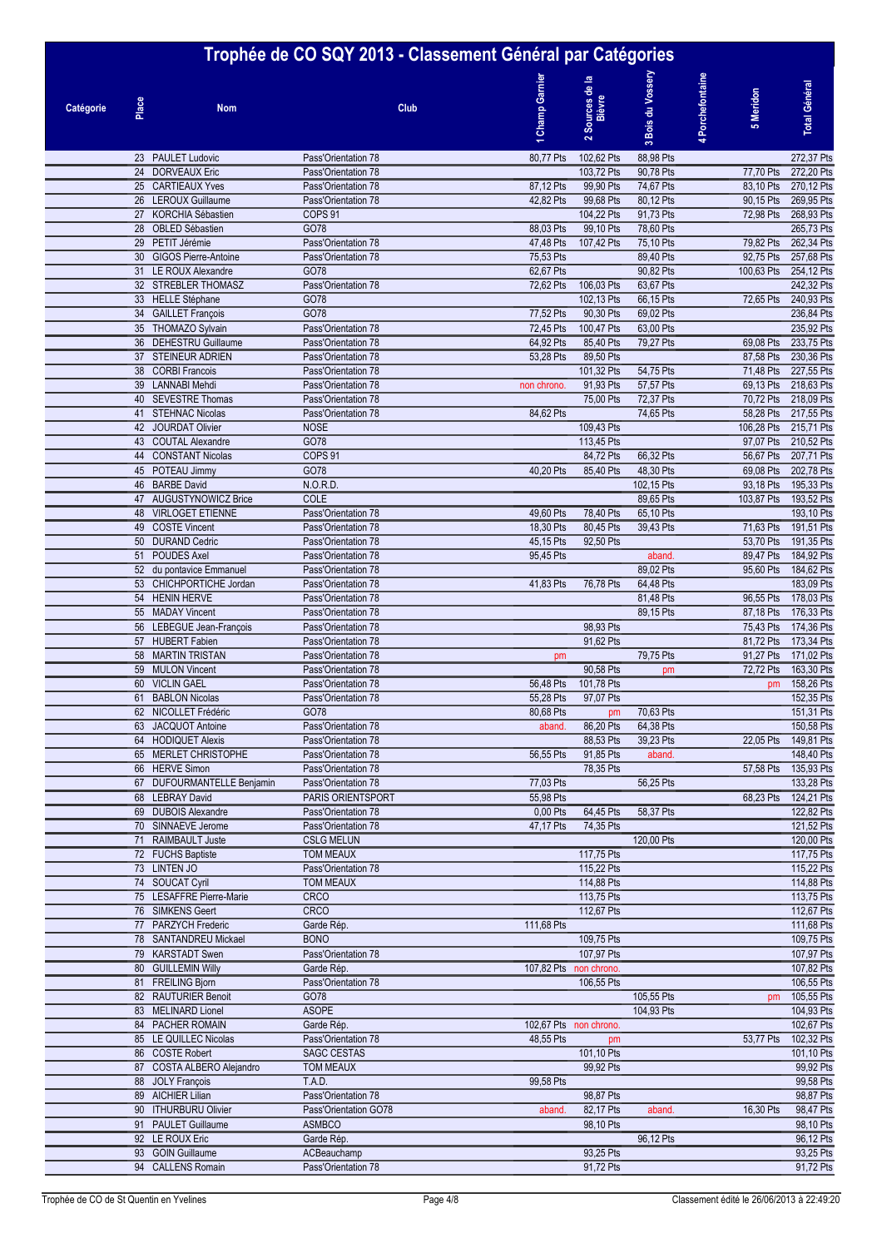# **Trophée de CO SQY 2013 - Classement Général par Catégories**

| Trophee de CO 5QT Z015 - Classement General par Categories |       |                                                 |                                            |      |                        |                           |                        |                |                        |                          |
|------------------------------------------------------------|-------|-------------------------------------------------|--------------------------------------------|------|------------------------|---------------------------|------------------------|----------------|------------------------|--------------------------|
| <b>Catégorie</b>                                           | Place | <b>Nom</b>                                      |                                            | Club | <b>Champ Garnier</b>   | 2 Sources de la<br>Bièvre | 3 Bois du Vossery      | Porchefontaine | 5 Meridon              | <b>Total Général</b>     |
|                                                            |       |                                                 |                                            |      |                        |                           |                        |                |                        |                          |
|                                                            |       | 23 PAULET Ludovic                               | Pass'Orientation 78                        |      | 80,77 Pts              | 102,62 Pts                | 88,98 Pts              |                |                        | 272,37 Pts               |
|                                                            |       | 24 DORVEAUX Eric                                | Pass'Orientation 78                        |      |                        | 103,72 Pts                | 90,78 Pts              |                | 77,70 Pts              | 272,20 Pts               |
|                                                            |       | 25 CARTIEAUX Yves                               | Pass'Orientation 78                        |      | 87,12 Pts              | 99,90 Pts                 | 74,67 Pts              |                | 83,10 Pts              | 270,12 Pts               |
|                                                            |       | 26 LEROUX Guillaume                             | Pass'Orientation 78                        |      | 42,82 Pts              | 99,68 Pts                 | 80,12 Pts              |                | 90,15 Pts              | 269,95 Pts               |
|                                                            |       | 27 KORCHIA Sébastien                            | COPS <sub>91</sub>                         |      |                        | 104,22 Pts                | 91,73 Pts              |                | 72,98 Pts              | 268,93 Pts               |
|                                                            |       | 28 OBLED Sébastien                              | GO78                                       |      | 88,03 Pts              | 99,10 Pts                 | 78,60 Pts              |                |                        | 265,73 Pts               |
|                                                            |       | 29 PETIT Jérémie                                | Pass'Orientation 78                        |      | 47,48 Pts<br>75,53 Pts | 107,42 Pts                | 75,10 Pts<br>89,40 Pts |                | 79,82 Pts<br>92.75 Pts | 262,34 Pts<br>257,68 Pts |
|                                                            |       | 30 GIGOS Pierre-Antoine<br>31 LE ROUX Alexandre | Pass'Orientation 78<br>GO78                |      | 62,67 Pts              |                           | 90,82 Pts              |                | 100,63 Pts             | 254,12 Pts               |
|                                                            |       | 32 STREBLER THOMASZ                             | Pass'Orientation 78                        |      | 72,62 Pts              | 106,03 Pts                | 63,67 Pts              |                |                        | 242,32 Pts               |
|                                                            |       | 33 HELLE Stéphane                               | GO78                                       |      |                        | 102,13 Pts                | 66,15 Pts              |                | 72,65 Pts              | 240,93 Pts               |
|                                                            |       | 34 GAILLET François                             | GO78                                       |      | 77,52 Pts              | 90,30 Pts                 | 69,02 Pts              |                |                        | 236,84 Pts               |
|                                                            |       | 35 THOMAZO Sylvain                              | Pass'Orientation 78                        |      | 72,45 Pts              | 100,47 Pts                | 63,00 Pts              |                |                        | 235,92 Pts               |
|                                                            |       | 36 DEHESTRU Guillaume                           | Pass'Orientation 78                        |      | 64,92 Pts              | 85,40 Pts                 | 79,27 Pts              |                | 69,08 Pts              | 233,75 Pts               |
|                                                            |       | 37 STEINEUR ADRIEN<br>38 CORBI Francois         | Pass'Orientation 78<br>Pass'Orientation 78 |      | 53,28 Pts              | 89,50 Pts                 |                        |                | 87,58 Pts<br>71,48 Pts | 230,36 Pts               |
|                                                            |       | 39 LANNABI Mehdi                                | Pass'Orientation 78                        |      | non chrono.            | 101,32 Pts<br>91,93 Pts   | 54,75 Pts<br>57,57 Pts |                | 69,13 Pts              | 227,55 Pts<br>218,63 Pts |
|                                                            |       | 40 SEVESTRE Thomas                              | Pass'Orientation 78                        |      |                        | 75,00 Pts                 | 72,37 Pts              |                | 70,72 Pts              | 218,09 Pts               |
|                                                            |       | 41 STEHNAC Nicolas                              | Pass'Orientation 78                        |      | 84,62 Pts              |                           | 74,65 Pts              |                | 58,28 Pts              | 217,55 Pts               |
|                                                            |       | 42 JOURDAT Olivier                              | <b>NOSE</b>                                |      |                        | 109,43 Pts                |                        |                | 106,28 Pts             | 215,71 Pts               |
|                                                            |       | 43 COUTAL Alexandre                             | GO78                                       |      |                        | 113,45 Pts                |                        |                | 97,07 Pts              | 210,52 Pts               |
|                                                            |       | 44 CONSTANT Nicolas                             | COPS <sub>91</sub>                         |      |                        | 84,72 Pts                 | 66,32 Pts              |                | 56,67 Pts              | 207,71 Pts               |
|                                                            |       | 45 POTEAU Jimmy                                 | GO78                                       |      | 40,20 Pts              | 85,40 Pts                 | 48,30 Pts              |                | 69,08 Pts              | 202,78 Pts               |
|                                                            |       | 46 BARBE David                                  | N.O.R.D.                                   |      |                        |                           | 102,15 Pts             |                | 93,18 Pts              | 195,33 Pts               |
|                                                            |       | 47 AUGUSTYNOWICZ Brice                          | COLE                                       |      |                        |                           | 89,65 Pts              |                | 103,87 Pts             | 193,52 Pts               |
|                                                            |       | 48 VIRLOGET ETIENNE<br>49 COSTE Vincent         | Pass'Orientation 78                        |      | 49,60 Pts              | 78,40 Pts                 | 65,10 Pts              |                |                        | 193,10 Pts               |
|                                                            |       | 50 DURAND Cedric                                | Pass'Orientation 78<br>Pass'Orientation 78 |      | 18,30 Pts<br>45,15 Pts | 80,45 Pts<br>92,50 Pts    | 39,43 Pts              |                | 71,63 Pts<br>53,70 Pts | 191,51 Pts<br>191,35 Pts |
|                                                            |       | 51 POUDES Axel                                  | Pass'Orientation 78                        |      | 95,45 Pts              |                           | aband.                 |                | 89,47 Pts              | 184,92 Pts               |
|                                                            |       | 52 du pontavice Emmanuel                        | Pass'Orientation 78                        |      |                        |                           | 89,02 Pts              |                | 95,60 Pts              | 184,62 Pts               |
|                                                            |       | 53 CHICHPORTICHE Jordan                         | Pass'Orientation 78                        |      | 41,83 Pts              | 76,78 Pts                 | 64,48 Pts              |                |                        | 183,09 Pts               |
|                                                            |       | 54 HENIN HERVE                                  | Pass'Orientation 78                        |      |                        |                           | 81,48 Pts              |                | 96,55 Pts              | 178,03 Pts               |
|                                                            |       | 55 MADAY Vincent                                | Pass'Orientation 78                        |      |                        |                           | 89,15 Pts              |                | 87,18 Pts              | 176,33 Pts               |
|                                                            |       | 56 LEBEGUE Jean-François                        | Pass'Orientation 78                        |      |                        | 98,93 Pts                 |                        |                | 75,43 Pts              | 174,36 Pts               |
|                                                            |       | 57 HUBERT Fabien                                | Pass'Orientation 78                        |      |                        | 91,62 Pts                 |                        |                | 81,72 Pts              | 173,34 Pts               |
|                                                            |       | 58 MARTIN TRISTAN                               | Pass'Orientation 78                        |      | pm                     |                           | 79,75 Pts              |                | 91,27 Pts              | 171,02 Pts               |
|                                                            |       | 59 MULON Vincent<br>60 VICLIN GAEL              | Pass'Orientation 78<br>Pass'Orientation 78 |      | 56,48 Pts              | 90,58 Pts<br>101,78 Pts   | pm                     |                | 72,72 Pts<br>pm        | 163,30 Pts<br>158,26 Pts |
|                                                            |       | 61 BABLON Nicolas                               | Pass'Orientation 78                        |      | 55,28 Pts              | 97,07 Pts                 |                        |                |                        | 152,35 Pts               |
|                                                            |       | 62 NICOLLET Frédéric                            | GO78                                       |      | 80,68 Pts              | pm                        | 70,63 Pts              |                |                        | 151,31 Pts               |
|                                                            |       | 63 JACQUOT Antoine                              | Pass'Orientation 78                        |      | aband.                 | 86,20 Pts                 | 64,38 Pts              |                |                        | 150,58 Pts               |
|                                                            |       | 64 HODIQUET Alexis                              | Pass'Orientation 78                        |      |                        | 88,53 Pts                 | 39,23 Pts              |                | 22,05 Pts              | 149,81 Pts               |
|                                                            |       | 65 MERLET CHRISTOPHE                            | Pass'Orientation 78                        |      | 56,55 Pts              | 91,85 Pts                 | aband.                 |                |                        | 148,40 Pts               |
|                                                            |       | 66 HERVE Simon                                  | Pass'Orientation 78                        |      |                        | 78,35 Pts                 |                        |                | 57,58 Pts              | 135,93 Pts               |
|                                                            |       | 67 DUFOURMANTELLE Benjamin                      | Pass'Orientation 78                        |      | 77,03 Pts              |                           | 56,25 Pts              |                |                        | 133,28 Pts               |
|                                                            |       | 68 LEBRAY David                                 | PARIS ORIENTSPORT                          |      | 55,98 Pts              |                           |                        |                | 68,23 Pts              | 124,21 Pts               |
|                                                            |       | 69 DUBOIS Alexandre<br>70 SINNAEVE Jerome       | Pass'Orientation 78<br>Pass'Orientation 78 |      | 0,00 Pts<br>47,17 Pts  | 64,45 Pts<br>74,35 Pts    | 58,37 Pts              |                |                        | 122,82 Pts<br>121,52 Pts |
|                                                            |       | 71 RAIMBAULT Juste                              | <b>CSLG MELUN</b>                          |      |                        |                           | 120,00 Pts             |                |                        | 120,00 Pts               |
|                                                            |       | 72 FUCHS Baptiste                               | <b>TOM MEAUX</b>                           |      |                        | 117,75 Pts                |                        |                |                        | 117,75 Pts               |
|                                                            |       | 73 LINTEN JO                                    | Pass'Orientation 78                        |      |                        | 115,22 Pts                |                        |                |                        | 115,22 Pts               |
|                                                            |       | 74 SOUCAT Cyril                                 | <b>TOM MEAUX</b>                           |      |                        | 114,88 Pts                |                        |                |                        | 114,88 Pts               |
|                                                            |       | 75 LESAFFRE Pierre-Marie                        | <b>CRCO</b>                                |      |                        | 113,75 Pts                |                        |                |                        | 113,75 Pts               |
|                                                            |       | 76 SIMKENS Geert                                | <b>CRCO</b>                                |      |                        | 112,67 Pts                |                        |                |                        | 112,67 Pts               |
|                                                            |       | 77 PARZYCH Frederic                             | Garde Rép.                                 |      | 111,68 Pts             |                           |                        |                |                        | 111,68 Pts               |
|                                                            |       | 78 SANTANDREU Mickael<br>79 KARSTADT Swen       | <b>BONO</b><br>Pass'Orientation 78         |      |                        | 109,75 Pts<br>107,97 Pts  |                        |                |                        | 109,75 Pts<br>107,97 Pts |
|                                                            |       | 80 GUILLEMIN Willy                              | Garde Rép.                                 |      | 107,82 Pts non chrono. |                           |                        |                |                        | 107,82 Pts               |
|                                                            |       | 81 FREILING Bjorn                               | Pass'Orientation 78                        |      |                        | 106,55 Pts                |                        |                |                        | 106,55 Pts               |
|                                                            |       | 82 RAUTURIER Benoit                             | GO78                                       |      |                        |                           | 105,55 Pts             |                | pm                     | 105,55 Pts               |
|                                                            |       | 83 MELINARD Lionel                              | ASOPE                                      |      |                        |                           | 104,93 Pts             |                |                        | 104,93 Pts               |
|                                                            |       | 84 PACHER ROMAIN                                | Garde Rép.                                 |      | 102,67 Pts non chrono. |                           |                        |                |                        | 102,67 Pts               |
|                                                            |       | 85 LE QUILLEC Nicolas                           | Pass'Orientation 78                        |      | 48,55 Pts              | pm                        |                        |                | 53,77 Pts              | 102,32 Pts               |
|                                                            |       | 86 COSTE Robert                                 | <b>SAGC CESTAS</b>                         |      |                        | 101,10 Pts                |                        |                |                        | 101,10 Pts               |
|                                                            |       | 87 COSTA ALBERO Alejandro                       | <b>TOM MEAUX</b>                           |      |                        | 99,92 Pts                 |                        |                |                        | 99,92 Pts                |
|                                                            |       | 88 JOLY François<br>89 AICHIER Lilian           | T.A.D.<br>Pass'Orientation 78              |      | 99,58 Pts              | 98,87 Pts                 |                        |                |                        | 99,58 Pts<br>98,87 Pts   |
|                                                            |       | 90 ITHURBURU Olivier                            | Pass'Orientation GO78                      |      | aband.                 | 82,17 Pts                 | aband.                 |                | 16,30 Pts              | 98,47 Pts                |
|                                                            |       | 91 PAULET Guillaume                             | <b>ASMBCO</b>                              |      |                        | 98,10 Pts                 |                        |                |                        | 98,10 Pts                |
|                                                            |       | 92 LE ROUX Eric                                 | Garde Rép.                                 |      |                        |                           | 96,12 Pts              |                |                        | 96,12 Pts                |
|                                                            |       | 93 GOIN Guillaume                               | ACBeauchamp                                |      |                        | 93,25 Pts                 |                        |                |                        | 93,25 Pts                |
|                                                            |       | 94 CALLENS Romain                               | Pass'Orientation 78                        |      |                        | 91,72 Pts                 |                        |                |                        | 91,72 Pts                |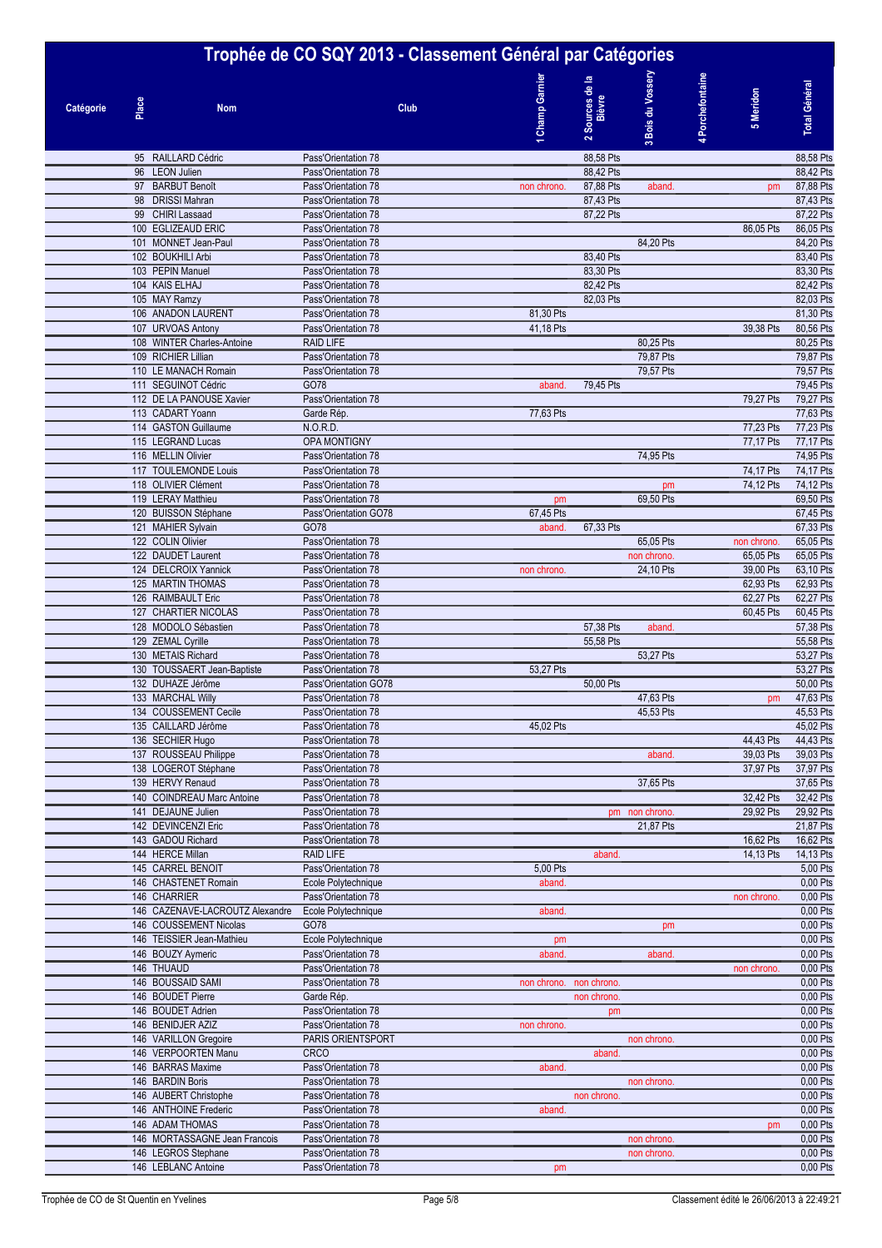#### **Trophée de CO SQY 2013 - Classement Général par Catégories Bois du Vossery Champ Garnier** Bois du Vossery 4 Porchefontaine **Porchefontaine Sources de la Champ Garnie Total Général Total Général** 2 Sources de **5 Meridon Bièvre Place Catégorie Nom Club 13**95 RAILLARD Cédric **Pass'Orientation 78** 0 88,58 Pts 0 88,58 Pts 0 88,58 Pts 0 88,58 Pts 0 88,58 Pts 0 0 88,58 Pts 0 88,58 Pts 0 88,42 Pts 0 88,42 Pts 0 88,42 Pts 0 88,42 Pts 0 88,42 Pts 0 88,42 Pts 0 88,42 Pts 0 88,42 Pts 96 LEON Julien Pass'Orientation 78 88,42 Pts 88,42 Pts 97 BARBUT Benoît **Pass'Orientation 78 non chrono.** 87,88 Pts aband. 0 pm 87,88 Pts 98 DRISSI Mahran Pass'Orientation 78 87,43 Pts 87,43 Pts 99 CHIRI Lassaad Pass'Orientation 78 0 87,22 Pts 0 0 0 87,22 Pts 100 EGLIZEAUD ERIC Pass'Orientation 78 0 0 0 0 86,05 Pts 86,05 Pts 101 MONNET Jean-Paul Pass'Orientation 78 102 BOUKHILI Arbi **Pass'Orientation 78** 0 83,40 Pts 0 83,40 Pts 0 83,40 Pts 0 83,40 Pts 0 83,40 Pts 103 PEPIN Manuel **200 83,30 Pts** 0 83,30 Pts 0 83,30 Pts 0 83,30 Pts 0 83,30 Pts 0 83,30 Pts 0 83,30 Pts 0 83,30 Pts 104 KAIS ELHAJ PASS'Orientation 78 0 82,42 Pts 0 82,42 Pts 0 82,42 Pts 0 82,42 Pts 0 82,42 Pts 0 82,42 Pts 105 MAY Ramzy **Pass'Orientation 78** 0 82,03 Pts 0 82,03 Pts 0 82,03 Pts 0 82,03 Pts 0 82,03 Pts 0 82,03 Pts 106 ANADON LAURENT Pass'Orientation 78 81,30 Pts 0 0 0 81,30 Pts 0 0 0 81,30 Pts 0 0 0 81,30 Pts 0 0 0 0 81,30 Pts 107 URVOAS Antony **Pass'Orientation 78** 41,18 Pts 41,18 Pts 39,38 Pts 80,56 Pts 80,56 Pts 108 WINTER Charles-Antoine 20,25 Pts 0.25 Pts 0.25 Pts 0.25 Pts 0.25 Pts 0.25 Pts 0.25 Pts 0.25 Pts 0.25 Pts 0 109 RICHIER Lillian Pass'Orientation 78 0 0 79,87 Pts 0 0 79,87 Pts 110 LE MANACH Romain Pass'Orientation 78 0 0 79,57 Pts 0 0 79,57 Pts 111 SEGUINOT Cédric COT8 COT8 COT8 aband. 79,45 Pts 0 0 0 19,45 Pts 0 0 79,45 Pts 0 0 79,45 Pts 112 DE LA PANOUSE Xavier Pass'Orientation 78 0 0 0 0 79,27 Pts 79,27 Pts 113 CADART Yoann Garde Rép. 6 0 0 10 10 77,63 Pts 0 0 77,63 Pts 0 0 77,63 Pts 0 0 77,63 Pts 0 0 0 77,63 Pts 0 0 0 77,63 Pts 114 GASTON Guillaume N.O.R.D. N.O.R.D. 2009 12:00 12:00 12:00 12:00 12:00 12:00 12:00 12:00 12:00 12:00 12:00 1 115 LEGRAND Lucas **OPA MONTIGNY CONSUMPLIER CONSUMPLIER OPEN CONSUMPLIER** OF 17,17 Pts 77,17 Pts 77,17 Pts 116 MELLIN Olivier **Pass'Orientation 78** 0 0 0 24,95 Pts 0 24,95 Pts 0 24,95 Pts 0 24,95 Pts 0 0 74,95 Pts 0 74,95 Pts 117 TOULEMONDE Louis Pass'Orientation 78 0 0 0 0 74,17 Pts 74,17 Pts 118 OLIVIER Clément Pass'Orientation 78 0 0 0 pm 0 74,12 Pts 74,12 Pts 74,12 Pts 119 LERAY Matthieu 
20,50 Pts<br>
120 BUISSON Stéphane

20 BUISSON Stéphane

20 BUISSON Stéphane

20 BUISSON Stéphane

20 BUISSON Stéphane

20 BUISSON Stéphane

20 BUISSON Stéphane

20 BUISSON Stéphane

20 BUISSON Stéphane

2 120 BUISSON Stéphane nd 121 MAHIER Sylvain GO78 67,33 Pts aband. 67,33 Pts 67,33 Pts 67,33 Pts 122 COLIN Olivier Pass'Orientation 78 0 0 65,05 Pts 0 non chrono. 65,05 Pts 122 DAUDET Laurent **Pass'Orientation 78** 0 0 0 0 non chrono. 0 65,05 Pts 65,05 Pts 65,05 Pts 65,05 Pts 65,05 Pts 124 DELCROIX Yannick **Pass'Orientation 78** non chrono. 24,10 Pts 39,00 Pts 63,10 Pts 63,10 Pts 125 MARTIN THOMAS 125 MARTIN THOMAS 126 RAIMBAULT Eric Pass'Orientation 78 0 0 0 0 62,27 Pts 62,27 Pts 127 CHARTIER NICOLAS Pass'Orientation 78 00.45 Pts 60,45 Pts 60,45 Pts 60,45 Pts 60,45 Pts 128 MODOLO Sébastien **Pass'Orientation 78** 0 57,38 Pts 38 Pts aband. 0 57,38 Pts 57,38 Pts **aband.** 0 57,38 Pts 129 ZEMAL Cyrille **200 Pass'Orientation 78** 0 55,58 Pts 0 55,58 Pts 0 0 55,58 Pts 0 0 55,58 Pts 0 0 0 0 55,58 Pts 130 METAIS Richard **Pass'Orientation 78** 0 0 53,27 Pts 0 53,27 Pts 0 53,27 Pts 0 53,27 Pts 0 53,27 Pts 0 53,27 Pts 130 TOUSSAERT Jean-Baptiste Pass'Orientation 78 53,27 Pts 53,27 Pts 53,27 Pts 53,27 Pts 53,27 Pts 53,27 Pts 53,27 Pts 132 DUHAZE Jérôme **Pass'Orientation GO78** 0 50,00 Pts 50,00 Pts 50,00 Pts 50,00 Pts 50,00 Pts 50,00 Pts 50,00 Pts 133 MARCHAL Willy **2008** Pass'Orientation 78 0 0 0 47,63 Pts 0 47,63 Pts 0 47,63 Pts 0 47,63 Pts 0 47,63 Pts 0 45,53 Pts 134 COUSSEMENT Cecile **Pass'Orientation 78** 0 45,53 Pts 45,53 Pts 45,53 Pts 45,53 Pts 45,53 Pts 45,53 134 COUSSEMENT Cecile **Pass'Orientation 78** 0 0 0 45,53 Pts 0 45,53 Pts 0 45,53 Pts 135 CAILLARD Jérôme Pass'Orientation 78 45,02 Pts 0 0 0 0 45,02 Pts 136 SECHIER Hugo Pass'Orientation 78 0 0 0 0 44,43 Pts 44,43 Pts 137 ROUSSEAU Philippe **Pass'Orientation 78** 0 aband. 0 39,03 Pts 39,03 Pts 39,03 Pts 39,03 Pts 39,03 Pts 39,03 Pts 138 LOGEROT Stéphane Pass'Orientation 78 0 0 0 37,97 Pts 37,97 Pts 37,97 Pts 37,97 Pts 37,97 Pts 37,97 Pts 37,97 Pts 139 HERVY Renaud **Pass'Orientation 78** 0 27,65 Pts 0 37,65 Pts 0 37,65 Pts 0 37,65 Pts 0 37,65 Pts 0 37,65 Pts 140 COINDREAU Marc Antoine Pass'Orientation 78 0 0 0 0 32,42 Pts 32,42 Pts 141 DEJAUNE Julien **Pass'Orientation 78** 0 pm non chrono. 0 29,92 Pts 29,92 Pts 29,92 Pts 29,92 Pts 29,92 Pts 29,92 Pts 29,92 Pts 29,92 Pts 29,92 Pts 29,92 Pts 29,92 Pts 29,92 Pts 29,92 Pts 29,92 Pts 29,92 Pts 29,92 Pts 29 142 DEVINCENZI Eric **Pass'Orientation 78** 0 0 21,87 Pts 0 21,87 Pts 0 21,87 Pts 0 21,87 Pts 0 21,87 Pts 0 21,87 Pts 143 GADOU Richard 2012 Pass'Orientation 78 0 0 0 0 16,62 Pts 16,62 Pts 16,62 Pts 16,62 Pts 16,62 Pts 16,62 Pts<br>144 HERCE Millan 2021 RAID LIFE 2022 Pts 14.13 Pts 14.13 Pts 14.13 Pts 14.13 Pts 144 HERCE Millan Research Communication Communication Communication Communication Communication Communication Communication Communication Communication Communication Communication Communication Communication Communication 145 CARREL BENOIT **Pass'Orientation 78** 5,00 Pts 5,00 Pts 5,00 Pts 5,00 Pts 5,00 Pts 5,00 Pts 5,00 Pts 5,00 Pts 146 CHASTENET Romain **120 Excellent Provide Polytechnique** aband. 0 000 Pts 146 CHARRIER **Pass'Orientation 78 Pass'Orientation 78 Passion Chrono**. 0,00 Pts 146 CAZENAVE-LACROUTZ Alexandre Ecole Polytechnique aband. 0 0 0 0 0,00 Pts 146 COUSSEMENT Nicolas GO78 600 Pts in the country of the country of the country of the country of the country of the country of the country of the country of the country of the country of the country of the country of the 146 TEISSIER Jean-Mathieu **Ecole Polytechnique pm 0,00 Pts** pm 0,00 Pts 146 BOUZY Aymeric **Pass'Orientation 78 aband. 2008 aband. 2008 aband. 2008 aband. 2008 aband. 2008 aband. 2008 aband. 2009 aband. 2009 aband. 2009 aband. 2009 aband. 2009 aband** non chrono. 0,00 Pts = 0.00 Pts = 0.00 Pts = 0.00 Pts = 0.00 Pts = 0.00 Pts = 0.00 Pts = 0.00 Pts = 0.00 Pts =<br>146 BOUSSAID SAMI Pass'Orientation 78 0.00 Pts = 0.00 Pts = 0.00 Pts = 0.00 Pts = 0.00 Pts = 0.00 Pts = 0.00 Pt 146 BOUSSAID SAMI Pass'Orientation 78 non chrono. non chrono. non chrono. 0 000 Pts 146 BOUDET Pierre **120 Carde Rép.** 0 non chrono. 0 non chrono. 0 0,00 Pts 0,00 Pts 146 BOUDET Adrien **146 Pass'Orientation 78** 0,00 Pts and pm 0 0,00 Pts and pm 0 0,00 Pts and pm 0 0,00 Pts and pm 0 0,00 Pts and pm 0 0,00 Pts and pm 0 0,00 Pts and pm 0 0,00 Pts and pm 0 0,00 Pts and pm 0 0 0 0 Pts and pm 146 BENIDJER AZIZ Pass'Orientation 78 non chrono. 0 0 0 0 0,00 Pts 146 VARILLON Gregoire **PARIS ORIENTSPORT CONSUMING THE CONSUMING ORIENTSPORT DESCRIPTION 0,00 Pts** 146 VERPOORTEN Manu CRCO CRCO COMPUS CROWN CROWN CONTROL Aband. CROWN CONTROL CONTROL CONTROL CONTROL CONTROL COMPUS 146 BARRAS Maxime 2008 Pass'Orientation 78 aband. 2009 Pts 146 BARDIN Boris **Pass'Orientation 78** 0 000 Pts control and provide the chrono. 0 0,00 Pts 146 AUBERT Christophe Pass'Orientation 78 0,00 Pts 146 ANTHOINE Frederic **Pass'Orientation 78** aband. **2008 aband.** 0,00 Pts 146 ADAM THOMAS **Pass'Orientation 78 Pass'Orientation 78 Pass'Orientation 78 PM 0.00 Pts** 146 MORTASSAGNE Jean Francois Pass'Orientation 78 0 0 non chrono. 0 0 0,00 Pts 146 LEGROS Stephane **Pass'Orientation 78** 0 00 0 non chrono. 0 0,00 Pts

146 LEBLANC Antoine **Pass'Orientation 78 pm 0,00 Pts** 0,00 Pts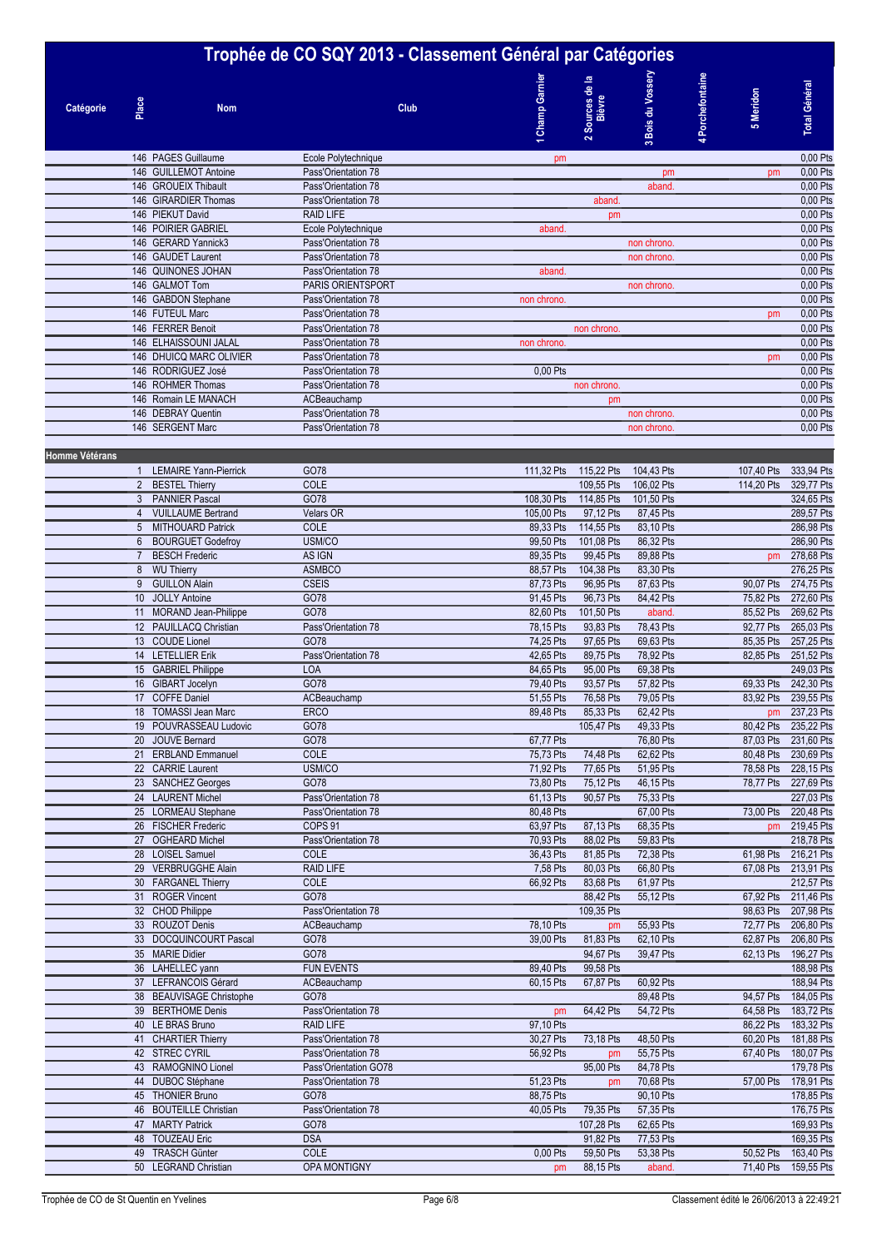### **Trophée de CO SQY 2013 - Classement Général par Catégories Bois du Vossery Champ Garnier 3** Bois du Vossen 4 Porchefontaine **Porchefontaine Sources de la Champ Garnie Total Général Total Général** Sources de **5 Meridon Bièvre Place Catégorie Nom Club**  $\sim$ **1**nd PAGES Guillaume Ecole Polytechnique Ecole Polytechnique pm 0,00 Pts<br>
146 GUILLEMOT Antoine Pass'Orientation 78 pm 0.00 Pts 146 GUILLEMOT Antoine Pass'Orientation 78 0 0 pm 0 pm 0,00 Pts 146 GROUEIX Thibault **Pass'Orientation 78** 0.00 Pts aband. 0 0.00 Pts 146 GIRARDIER Thomas **Pass'Orientation 78 146 aband.** 0,00 Pts 146 PIEKUT David RAID LIFE 0 pm 0 0 0 0,00 Pts 146 POIRIER GABRIEL Ecole Polytechnique aband. 0 0 0 0 0,00 Pts 146 GERARD Yannick3 **Pass'Orientation 78 Decision 128** 0.00 Pts 146 GAUDET Laurent **120 Pass'Orientation 78** 0 000 Pts control 200 Pts control 200 Pts control 200 Pts control 200 Pts control 200 Pts control 200 Pts control 200 Pts control 200 Pts control 200 Pts control 200 Pts control 146 QUINONES JOHAN Pass'Orientation 78 aband aband aband 0.00 Pts 146 GALMOT Tom **PARIS ORIENTSPORT** 146 ON 2009 Pts 2009 Pts 2009 Pts 2009 Pts 2009 Pts 2009 Pts 2009 Pts 2009 Pts 146 GABDON Stephane **Pass'Orientation 78** non chrono. 0,00 Pts 146 FUTEUL Marc **Pass'Orientation 78 Decision 19** 0.00 Pts 146 FERRER Benoit Pass'Orientation 78 0 non chrono. 0 0 0 0,00 Pts 146 ELHAISSOUNI JALAL **Pass'Orientation 78** non chrono. 0 000 Pts 146 DHUICQ MARC OLIVIER Pass'Orientation 78 0 0 0 0 pm 0,00 Pts 146 RODRIGUEZ José **Pass'Orientation 78** 0.00 Pts 0.00 Pts 0.00 Pts 0.00 Pts 0.00 Pts 0.00 Pts 0.00 Pts 0.00 Pts 146 ROHMER Thomas Pass'Orientation 78 000 Pts non chrono. 0 000 Pts 0,000 Pts 146 Romain LE MANACH ACBeauchamp **146 Romain LE MANACH** 0.00 Pts 146 DEBRAY Quentin **Pass'Orientation 78** 0,00 Pts control control control control control control control control control control control control control control control control control control control control control cont 146 SERGENT Marc **Pass'Orientation 78 0,00 Pts** 0,00 Pts 0,00 Pts 0,00 Pts 0,00 Pts **Homme Vétérans 0 0 0 0 0 0 0** 1 LEMAIRE Yann-Pierrick GO78 111,32 Pts 115,22 Pts 104,43 Pts 0 107,40 Pts 333,94 Pts 2 BESTEL Thierry 2000 COLE 2000 COLE 2000 COLE 2000 COLE 2000 COLE 2000 Pts 106,02 Pts 106,02 Pts 0 114,20 Pts 329,77 Pts 3 PANNIER Pascal GO78 108,30 Pts 114,85 Pts 101,50 Pts 0 0 324,65 Pts 4 VUILLAUME Bertrand Velars OR 105,00 Pts 97,12 Pts 87,45 Pts 37,45 Pts 289,57 Pts 5 MITHOUARD Patrick COLE COLE 89,33 Pts 114,55 Pts 83,10 Pts 83,10 Pts 286,98 Pts 6 BOURGUET Godefroy USM/CO USM/CO 99,50 Pts 101,08 Pts 86,32 Pts 286,90 Pts 286,90 Pts 7 BESCH Frederic AS IGN 89,35 Pts 99,45 Pts 89,88 Pts 89,88 Pts 0 pm 278,68 Pts 0 pm 278,68 Pts 8 WU Thierry ASMBCO 88,57 Pts 104,38 Pts 83,30 Pts 276,25 Pts 9 GUILLON Alain CSEIS 87,73 Pts 96,95 Pts 87,63 Pts 0 90,07 Pts 274,75 Pts 10 JOLLY Antoine GO78 91,45 Pts 96,73 Pts 84,42 Pts 0 75,82 Pts 272,60 Pts 11 MORAND Jean-Philippe GO78 GO78 82,60 Pts 101,50 Pts aband. 85,52 Pts 269,62 Pts 12 PAUILLACQ Christian Pass'Orientation 78 78,15 Pts 93,83 Pts 78,43 Pts 92,77 Pts 265,03 Pts 13 COUDE Lionel GO78 74,25 Pts 97,65 Pts 69,63 Pts 0 85,35 Pts 257,25 Pts 14 LETELLIER Erik Pass'Orientation 78 42,65 Pts 89,75 Pts 78,92 Pts 89,85 Pts 82,85 Pts 251,52 Pts 15 GABRIEL Philippe LOA LOA 84,65 Pts 95,00 Pts 69,38 Pts 958 Pts 249,03 Pts 16 GIBART Jocelyn GO78 79,40 Pts 93,57 Pts 57,82 Pts 0 69,33 Pts 242,30 Pts 17 COFFE Daniel **ACBeauchamp** 61,55 Pts 76,58 Pts 76,58 Pts 76,58 Pts 79,05 Pts 83,92 Pts 239,55 Pts 18 TOMASSI Jean Marc **ERCO** ERCO **89,48 Pts 85,33 Pts 62,42 Pts 0 pm 237,23 Pts** 19 POUVRASSEAU Ludovic GO78 600 105,47 Pts 49,33 Pts 80,42 Pts 235,22 Pts 20 JOUVE Bernard GO78 67,77 Pts 0 76,80 Pts 0 87,03 Pts 231,60 Pts 21 ERBLAND Emmanuel COLE COLE 75,73 Pts 74,48 Pts 62,62 Pts 80,48 Pts 230,69 Pts 26,62 Pts 280,59 Pts 280,69 Pts 280,69 Pts 280,69 Pts 280,69 Pts 280,69 Pts 280,69 Pts 280,59 Pts 28,15 Pts 28,15 Pts 28,15 Pts 28,15 Pts 28, 22 CARRIE Laurent USM/CO 71,92 Pts 77,65 Pts 51,95 Pts 0 78,58 Pts 228,15 Pts 23 SANCHEZ Georges GO78 GO78 73,80 Pts 75,12 Pts 46,15 Pts 78,77 Pts 227,69 Pts 24 LAURENT Michel 227,03 Pts Pass'Orientation 78 61,13 Pts 90,57 Pts 75,33 Pts 227,03 Pts 25 LORMEAU Stephane Pass'Orientation 78 80.48 Pts 67,00 Pts 73,00 Pts 220.48 Pts 26 FISCHER Frederic COPS 91 63,97 Pts 87,13 Pts 68,35 Pts 0 pm 219,45 Pts 27 OGHEARD Michel Pass'Orientation 78 70,93 Pts 88,02 Pts 59,83 Pts 0 218,78 Pts 218,78 Pts 28 LOISEL Samuel COLE 36,43 Pts 81,85 Pts 72,38 Pts 0 61,98 Pts 216,21 Pts 29 VERBRUGGHE Alain 2012 RAID LIFE 213,91 Pts 213,91 Pts 66,80 Pts 66,80 Pts 66,80 Pts 0 67,08 Pts 213,91 Pts 30 FARGANEL Thierry COLE COLE 66,92 Pts 83,68 Pts 61,97 Pts 212,57 Pts 212,57 Pts 31 ROGER Vincent GO78 0 88,42 Pts 55,12 Pts 0 67,92 Pts 211,46 Pts 32 CHOD Philippe 207,98 Pts Pass'Orientation 78 109,35 Pts 109,35 Pts 98,63 Pts 207,98 Pts 98,63 Pts 206,80 Pts 206,80 Pts 206,80 Pts 206,80 Pts 206,80 Pts 206,80 Pts 206,80 Pts 206,80 Pts 206,80 Pts 206,80 Pts 206,80 Pts 33 ROUZOT Denis **ACBeauchamp 78,10 Pts pm 55,93 Pts** 72,77 Pts 206,80 Pts **33 Pts** 206,80 Pts 33 DOCQUINCOURT Pascal GO78 69 CO78 39,00 Pts 81,83 Pts 62,10 Pts 62,87 Pts 206,80 Pts 35 MARIE Didier GO78 0 94,67 Pts 39,47 Pts 0 62,13 Pts 196,27 Pts 36 LAHELLEC yann FUN EVENTS 69,40 Pts 99,58 Pts 0 0 188,98 Pts 0 188,98 Pts 37 LEFRANCOIS Gérard ACBeauchamp 60,15 Pts 67,87 Pts 60,92 Pts 0 0 188,94 Pts 38 BEAUVISAGE Christophe GO78 6 0 0 60 89.48 Pts 94.57 Pts 184,05 Pts 94.57 Pts 184,05 Pts 39 BERTHOME Denis Pass'Orientation 78 pm 64,42 Pts 54,72 Pts 0 64,58 Pts 183,72 Pts 40 LE BRAS Bruno RAID LIFE 97,10 Pts 86,22 Pts 183,32 Pts 41 CHARTIER Thierry **Pass'Orientation 78** 30,27 Pts 73,18 Pts 48,50 Pts 60,20 Pts 181,88 Pts 42 STREC CYRIL Pass'Orientation 78 56,92 Pts pm 55,75 Pts 67,40 Pts 180,07 Pts 180,07 Pts 43 RAMOGNINO Lionel Pass'Orientation GO78 95,00 Pts 84,78 Pts 179,78 Pts 179,78 Pts 44 DUBOC Stéphane Pass'Orientation 78 51,23 Pts pm 70,68 Pts 57,00 Pts 178,91 Pts 45 THONIER Bruno 6 6078 66078 66078 88,75 Pts 0 90,10 Pts 90,10 Pts 178,85 Pts 0 178,85 Pts 46 BOUTEILLE Christian Pass'Orientation 78 40,05 Pts 79,35 Pts 57,35 Pts 176,75 Pts 176,75 Pts 47 MARTY Patrick 6 169,93 Pts 62,65 Pts 62,65 Pts 62,65 Pts 107,28 Pts 107,28 Pts 169,93 Pts 169,93 Pts 48 TOUZEAU Eric DSA 91,82 Pts 77,53 Pts 169,35 Pts

49 TRASCH Günter COLE COLE COLE 0,00 Pts 59,50 Pts 53,38 Pts 53,38 Pts 50,52 Pts 163,40 Pts 50 LEGRAND Christian **CDRAMONTIGNY pm 88,15 Pts aband.** 0 71,40 Pts 159,55 Pts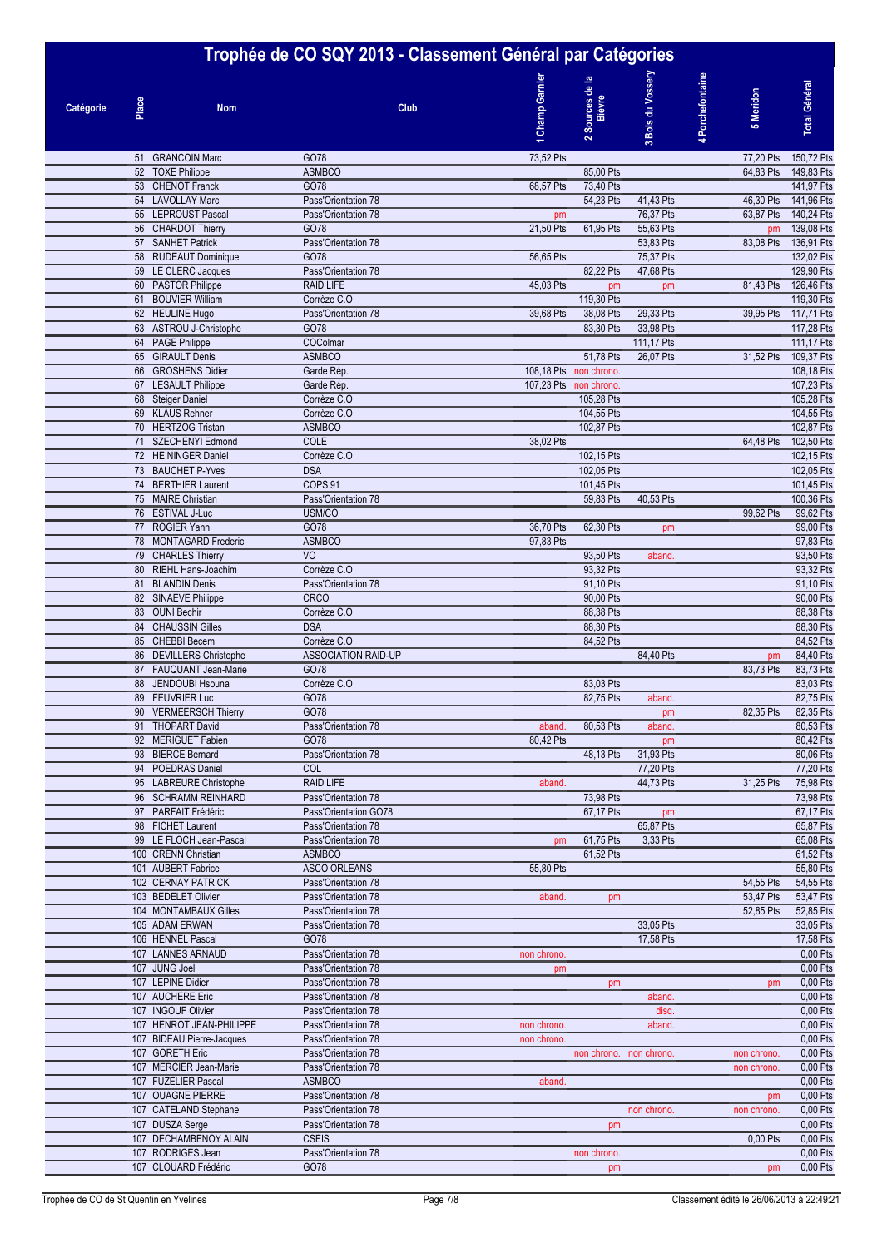# **Trophée de CO SQY 2013 - Classement Général par Catégories**

| Trophee de CO SQY 2013 - Classement General par Categories |       |                                                   |                                            |                        |                           |                 |                               |                          |  |
|------------------------------------------------------------|-------|---------------------------------------------------|--------------------------------------------|------------------------|---------------------------|-----------------|-------------------------------|--------------------------|--|
| Catégorie                                                  | Place | <b>Nom</b>                                        | Club                                       | <b>Champ Garnier</b>   | 2 Sources de la<br>Bièvre | Bois du Vossery | 4 Porchefontaine<br>5 Meridon | <b>Total Général</b>     |  |
|                                                            |       |                                                   |                                            |                        |                           | $\sim$          |                               |                          |  |
|                                                            |       | 51 GRANCOIN Marc                                  | GO78                                       | 73,52 Pts              |                           |                 | 77,20 Pts                     | 150,72 Pts               |  |
|                                                            |       | 52 TOXE Philippe<br>53 CHENOT Franck              | <b>ASMBCO</b><br>GO78                      | 68,57 Pts              | 85,00 Pts<br>73,40 Pts    |                 | 64,83 Pts                     | 149,83 Pts<br>141,97 Pts |  |
|                                                            |       | 54 LAVOLLAY Marc                                  | Pass'Orientation 78                        |                        | 54,23 Pts                 | 41,43 Pts       | 46,30 Pts                     | 141,96 Pts               |  |
|                                                            |       | 55 LEPROUST Pascal                                | Pass'Orientation 78                        | pm                     |                           | 76,37 Pts       | 63,87 Pts                     | 140,24 Pts               |  |
|                                                            |       | 56 CHARDOT Thierry                                | GO78                                       | 21,50 Pts              | 61,95 Pts                 | 55,63 Pts       | pm                            | 139,08 Pts               |  |
|                                                            |       | 57 SANHET Patrick                                 | Pass'Orientation 78                        |                        |                           | 53,83 Pts       | 83,08 Pts                     | 136,91 Pts               |  |
|                                                            |       | 58 RUDEAUT Dominique                              | GO78                                       | 56,65 Pts              |                           | 75,37 Pts       |                               | 132,02 Pts               |  |
|                                                            |       | 59 LE CLERC Jacques                               | Pass'Orientation 78                        | 45,03 Pts              | 82,22 Pts                 | 47,68 Pts       |                               | 129,90 Pts               |  |
|                                                            |       | 60 PASTOR Philippe<br>61 BOUVIER William          | <b>RAID LIFE</b><br>Corrèze C.O            |                        | pm<br>119,30 Pts          | pm              | 81,43 Pts                     | 126,46 Pts<br>119,30 Pts |  |
|                                                            |       | 62 HEULINE Hugo                                   | Pass'Orientation 78                        | 39,68 Pts              | 38,08 Pts                 | 29,33 Pts       | 39,95 Pts                     | 117,71 Pts               |  |
|                                                            |       | 63 ASTROU J-Christophe                            | GO78                                       |                        | 83,30 Pts                 | 33,98 Pts       |                               | 117,28 Pts               |  |
|                                                            |       | 64 PAGE Philippe                                  | COColmar                                   |                        |                           | 111,17 Pts      |                               | 111,17 Pts               |  |
|                                                            |       | 65 GIRAULT Denis                                  | <b>ASMBCO</b>                              |                        | 51,78 Pts                 | 26,07 Pts       | 31,52 Pts                     | 109,37 Pts               |  |
|                                                            |       | 66 GROSHENS Didier                                | Garde Rép.                                 | 108,18 Pts non chrono. |                           |                 |                               | 108,18 Pts               |  |
|                                                            |       | 67 LESAULT Philippe                               | Garde Rép.                                 | 107,23 Pts non chrono. |                           |                 |                               | 107,23 Pts               |  |
|                                                            |       | 68 Steiger Daniel<br>69 KLAUS Rehner              | Corrèze C.O<br>Corrèze C.O                 |                        | 105,28 Pts<br>104,55 Pts  |                 |                               | 105,28 Pts<br>104,55 Pts |  |
|                                                            |       | 70 HERTZOG Tristan                                | <b>ASMBCO</b>                              |                        | 102,87 Pts                |                 |                               | 102,87 Pts               |  |
|                                                            |       | 71 SZECHENYI Edmond                               | COLE                                       | 38,02 Pts              |                           |                 | 64,48 Pts                     | 102,50 Pts               |  |
|                                                            |       | 72 HEININGER Daniel                               | Corrèze C.O                                |                        | 102,15 Pts                |                 |                               | 102,15 Pts               |  |
|                                                            |       | 73 BAUCHET P-Yves                                 | <b>DSA</b>                                 |                        | 102,05 Pts                |                 |                               | 102,05 Pts               |  |
|                                                            |       | 74 BERTHIER Laurent                               | COPS <sub>91</sub>                         |                        | 101,45 Pts                |                 |                               | 101,45 Pts               |  |
|                                                            |       | 75 MAIRE Christian                                | Pass'Orientation 78                        |                        | 59,83 Pts                 | 40,53 Pts       |                               | 100,36 Pts               |  |
|                                                            |       | 76 ESTIVAL J-Luc                                  | USM/CO                                     |                        |                           |                 | 99,62 Pts                     | 99,62 Pts                |  |
|                                                            |       | 77 ROGIER Yann<br>78 MONTAGARD Frederic           | GO78<br><b>ASMBCO</b>                      | 36,70 Pts<br>97,83 Pts | 62,30 Pts                 | pm              |                               | 99,00 Pts<br>97,83 Pts   |  |
|                                                            |       | 79 CHARLES Thierry                                | VO                                         |                        | 93,50 Pts                 | aband.          |                               | 93,50 Pts                |  |
|                                                            |       | 80 RIEHL Hans-Joachim                             | Corrèze C.O                                |                        | 93,32 Pts                 |                 |                               | 93,32 Pts                |  |
|                                                            |       | 81 BLANDIN Denis                                  | Pass'Orientation 78                        |                        | 91,10 Pts                 |                 |                               | 91,10 Pts                |  |
|                                                            |       | 82 SINAEVE Philippe                               | <b>CRCO</b>                                |                        | 90,00 Pts                 |                 |                               | 90,00 Pts                |  |
|                                                            |       | 83 OUNI Bechir                                    | Corrèze C.O                                |                        | 88,38 Pts                 |                 |                               | 88,38 Pts                |  |
|                                                            |       | 84 CHAUSSIN Gilles                                | <b>DSA</b>                                 |                        | 88,30 Pts                 |                 |                               | 88,30 Pts                |  |
|                                                            |       | 85 CHEBBI Becem                                   | Corrèze C.O                                |                        | 84,52 Pts                 |                 |                               | 84,52 Pts                |  |
|                                                            |       | 86 DEVILLERS Christophe<br>87 FAUQUANT Jean-Marie | <b>ASSOCIATION RAID-UP</b><br>GO78         |                        |                           | 84,40 Pts       | pm<br>83,73 Pts               | 84,40 Pts<br>83,73 Pts   |  |
|                                                            |       | 88 JENDOUBI Hsouna                                | Corrèze C.O                                |                        | 83,03 Pts                 |                 |                               | 83,03 Pts                |  |
|                                                            |       | 89 FEUVRIER Luc                                   | GO78                                       |                        | 82,75 Pts                 | aband           |                               | 82,75 Pts                |  |
|                                                            |       | 90 VERMEERSCH Thierry                             | GO78                                       |                        |                           | pm              | 82,35 Pts                     | 82,35 Pts                |  |
|                                                            |       | 91 THOPART David                                  | Pass'Orientation 78                        | aband.                 | 80,53 Pts                 | aband.          |                               | 80,53 Pts                |  |
|                                                            |       | 92 MERIGUET Fabien                                | GO78                                       | 80,42 Pts              |                           | pm              |                               | 80,42 Pts                |  |
|                                                            |       | 93 BIERCE Bernard                                 | Pass'Orientation 78                        |                        | 48,13 Pts                 | 31,93 Pts       |                               | 80,06 Pts                |  |
|                                                            |       | 94 POEDRAS Daniel                                 | COL                                        |                        |                           | 77,20 Pts       |                               | 77,20 Pts                |  |
|                                                            |       | 95 LABREURE Christophe<br>96 SCHRAMM REINHARD     | <b>RAID LIFE</b><br>Pass'Orientation 78    | aband                  | 73,98 Pts                 | 44,73 Pts       | 31,25 Pts                     | 75,98 Pts<br>73,98 Pts   |  |
|                                                            |       | 97 PARFAIT Frédéric                               | Pass'Orientation GO78                      |                        | 67,17 Pts                 | pm              |                               | 67,17 Pts                |  |
|                                                            |       | 98 FICHET Laurent                                 | Pass'Orientation 78                        |                        |                           | 65,87 Pts       |                               | 65,87 Pts                |  |
|                                                            |       | 99 LE FLOCH Jean-Pascal                           | Pass'Orientation 78                        | pm                     | 61,75 Pts                 | 3,33 Pts        |                               | 65,08 Pts                |  |
|                                                            |       | 100 CRENN Christian                               | <b>ASMBCO</b>                              |                        | 61,52 Pts                 |                 |                               | 61,52 Pts                |  |
|                                                            |       | 101 AUBERT Fabrice                                | <b>ASCO ORLEANS</b>                        | 55,80 Pts              |                           |                 |                               | 55,80 Pts                |  |
|                                                            |       | 102 CERNAY PATRICK                                | Pass'Orientation 78                        |                        |                           |                 | 54,55 Pts                     | 54,55 Pts                |  |
|                                                            |       | 103 BEDELET Olivier<br>104 MONTAMBAUX Gilles      | Pass'Orientation 78<br>Pass'Orientation 78 | aband.                 | pm                        |                 | 53,47 Pts                     | 53,47 Pts<br>52,85 Pts   |  |
|                                                            |       | 105 ADAM ERWAN                                    | Pass'Orientation 78                        |                        |                           | 33,05 Pts       | 52,85 Pts                     | 33,05 Pts                |  |
|                                                            |       | 106 HENNEL Pascal                                 | GO78                                       |                        |                           | 17,58 Pts       |                               | 17,58 Pts                |  |
|                                                            |       | 107 LANNES ARNAUD                                 | Pass'Orientation 78                        | non chrono.            |                           |                 |                               | 0,00 Pts                 |  |
|                                                            |       | 107 JUNG Joel                                     | Pass'Orientation 78                        | pm                     |                           |                 |                               | 0,00 Pts                 |  |
|                                                            |       | 107 LEPINE Didier                                 | Pass'Orientation 78                        |                        | pm                        |                 | pm                            | 0,00 Pts                 |  |
|                                                            |       | 107 AUCHERE Eric                                  | Pass'Orientation 78                        |                        |                           | aband.          |                               | 0,00 Pts                 |  |
|                                                            |       | 107 INGOUF Olivier                                | Pass'Orientation 78                        |                        |                           | disq.           |                               | 0,00 Pts                 |  |
|                                                            |       | 107 HENROT JEAN-PHILIPPE                          | Pass'Orientation 78                        | non chrono.            |                           | aband.          |                               | 0,00 Pts<br>0,00 Pts     |  |
|                                                            |       | 107 BIDEAU Pierre-Jacques<br>107 GORETH Eric      | Pass'Orientation 78<br>Pass'Orientation 78 | non chrono.            | non chrono. non chrono.   |                 | non chrono.                   | 0,00 Pts                 |  |
|                                                            |       | 107 MERCIER Jean-Marie                            | Pass'Orientation 78                        |                        |                           |                 | non chrono.                   | 0,00 Pts                 |  |
|                                                            |       | 107 FUZELIER Pascal                               | <b>ASMBCO</b>                              | aband                  |                           |                 |                               | 0,00 Pts                 |  |
|                                                            |       | 107 OUAGNE PIERRE                                 | Pass'Orientation 78                        |                        |                           |                 | pm                            | 0,00 Pts                 |  |
|                                                            |       | 107 CATELAND Stephane                             | Pass'Orientation 78                        |                        |                           | non chrono.     | non chrono.                   | 0,00 Pts                 |  |
|                                                            |       | 107 DUSZA Serge                                   | Pass'Orientation 78                        |                        | pm                        |                 |                               | 0,00 Pts                 |  |
|                                                            |       | 107 DECHAMBENOY ALAIN                             | <b>CSEIS</b>                               |                        |                           |                 | 0,00 Pts                      | 0,00 Pts                 |  |
|                                                            |       | 107 RODRIGES Jean                                 | Pass'Orientation 78                        |                        | non chrono.               |                 |                               | 0,00 Pts                 |  |
|                                                            |       | 107 CLOUARD Frédéric                              | GO78                                       |                        | pm                        |                 | pm                            | 0,00 Pts                 |  |